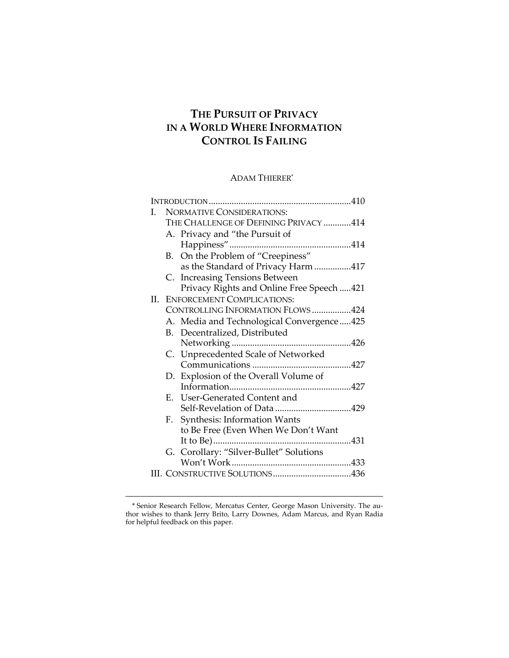# **THE PURSUIT OF PRIVACY IN A WORLD WHERE INFORMATION CONTROL IS FAILING**

# ADAM THIERER\*

| I.  | <b>NORMATIVE CONSIDERATIONS:</b>      |                                            |  |
|-----|---------------------------------------|--------------------------------------------|--|
|     | THE CHALLENGE OF DEFINING PRIVACY 414 |                                            |  |
|     |                                       | A. Privacy and "the Pursuit of             |  |
|     |                                       |                                            |  |
|     |                                       | B. On the Problem of "Creepiness"          |  |
|     |                                       | as the Standard of Privacy Harm 417        |  |
|     |                                       | C. Increasing Tensions Between             |  |
|     |                                       | Privacy Rights and Online Free Speech  421 |  |
| II. |                                       | <b>ENFORCEMENT COMPLICATIONS:</b>          |  |
|     | CONTROLLING INFORMATION FLOWS 424     |                                            |  |
|     |                                       | A. Media and Technological Convergence425  |  |
|     |                                       | B. Decentralized, Distributed              |  |
|     |                                       |                                            |  |
|     |                                       | C. Unprecedented Scale of Networked        |  |
|     |                                       |                                            |  |
|     |                                       | D. Explosion of the Overall Volume of      |  |
|     |                                       |                                            |  |
|     | Е.                                    | User-Generated Content and                 |  |
|     |                                       |                                            |  |
|     |                                       | F. Synthesis: Information Wants            |  |
|     |                                       | to Be Free (Even When We Don't Want        |  |
|     |                                       | It to Be)                                  |  |
|     |                                       | G. Corollary: "Silver-Bullet" Solutions    |  |
|     |                                       |                                            |  |
|     |                                       |                                            |  |

<sup>\*</sup> Senior Research Fellow, Mercatus Center, George Mason University. The au‐ thor wishes to thank Jerry Brito, Larry Downes, Adam Marcus, and Ryan Radia for helpful feedback on this paper.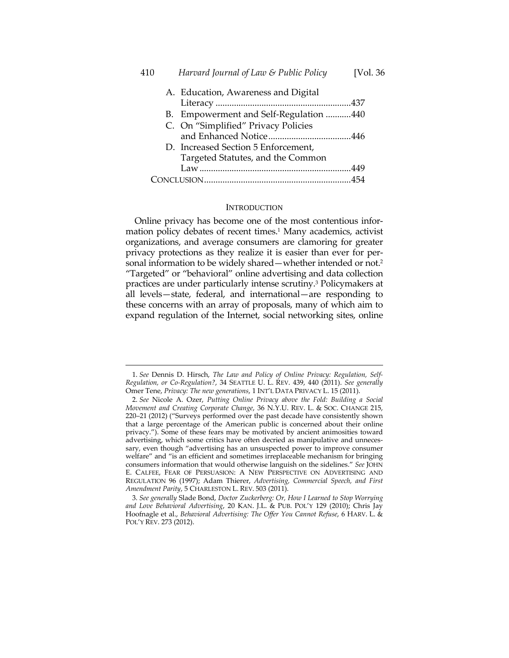| 410 | Harvard Journal of Law & Public Policy | [Vol. 36 |
|-----|----------------------------------------|----------|
|     | A. Education, Awareness and Digital    |          |
|     |                                        |          |
|     | B. Empowerment and Self-Regulation 440 |          |
|     | C. On "Simplified" Privacy Policies    |          |
|     |                                        |          |
|     | D. Increased Section 5 Enforcement,    |          |
|     | Targeted Statutes, and the Common      |          |
|     |                                        |          |
|     |                                        |          |
|     |                                        |          |

#### INTRODUCTION

Online privacy has become one of the most contentious infor‐ mation policy debates of recent times.<sup>1</sup> Many academics, activist organizations, and average consumers are clamoring for greater privacy protections as they realize it is easier than ever for per‐ sonal information to be widely shared—whether intended or not.2 "Targeted" or "behavioral" online advertising and data collection practices are under particularly intense scrutiny.3 Policymakers at all levels—state, federal, and international—are responding to these concerns with an array of proposals, many of which aim to expand regulation of the Internet, social networking sites, online

<sup>1.</sup> *See* Dennis D. Hirsch, *The Law and Policy of Online Privacy: Regulation, Self‐ Regulation, or Co‐Regulation?*, 34 SEATTLE U. L. REV. 439, 440 (2011). *See generally* Omer Tene, *Privacy: The new generations*, 1 INT'L DATA PRIVACY L. 15 (2011).

<sup>2.</sup> *See* Nicole A. Ozer, *Putting Online Privacy above the Fold: Building a Social Movement and Creating Corporate Change*, 36 N.Y.U. REV. L. & SOC. CHANGE 215, 220–21 (2012) ("Surveys performed over the past decade have consistently shown that a large percentage of the American public is concerned about their online privacy."). Some of these fears may be motivated by ancient animosities toward advertising, which some critics have often decried as manipulative and unnecessary, even though "advertising has an unsuspected power to improve consumer welfare" and "is an efficient and sometimes irreplaceable mechanism for bringing consumers information that would otherwise languish on the sidelines." *See* JOHN E. CALFEE, FEAR OF PERSUASION: A NEW PERSPECTIVE ON ADVERTISING AND REGULATION 96 (1997); Adam Thierer, *Advertising, Commercial Speech, and First Amendment Parity*, 5 CHARLESTON L. REV. 503 (2011).

<sup>3.</sup> *See generally* Slade Bond, *Doctor Zuckerberg: Or, How I Learned to Stop Worrying and Love Behavioral Advertising*, 20 KAN. J.L. & PUB. POL'Y 129 (2010); Chris Jay Hoofnagle et al., *Behavioral Advertising: The Offer You Cannot Refuse*, 6 HARV. L. & POL'Y REV. 273 (2012).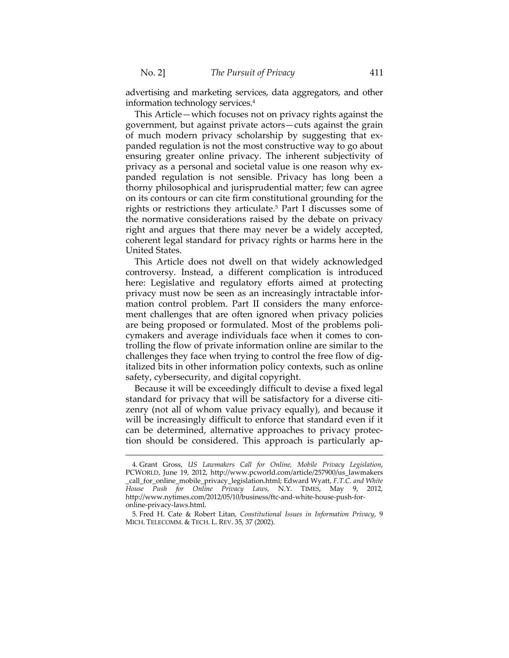$\overline{a}$ 

advertising and marketing services, data aggregators, and other information technology services.4

This Article—which focuses not on privacy rights against the government, but against private actors—cuts against the grain of much modern privacy scholarship by suggesting that ex‐ panded regulation is not the most constructive way to go about ensuring greater online privacy. The inherent subjectivity of privacy as a personal and societal value is one reason why expanded regulation is not sensible. Privacy has long been a thorny philosophical and jurisprudential matter; few can agree on its contours or can cite firm constitutional grounding for the rights or restrictions they articulate.5 Part I discusses some of the normative considerations raised by the debate on privacy right and argues that there may never be a widely accepted, coherent legal standard for privacy rights or harms here in the United States.

This Article does not dwell on that widely acknowledged controversy. Instead, a different complication is introduced here: Legislative and regulatory efforts aimed at protecting privacy must now be seen as an increasingly intractable infor‐ mation control problem. Part II considers the many enforcement challenges that are often ignored when privacy policies are being proposed or formulated. Most of the problems poli‐ cymakers and average individuals face when it comes to con‐ trolling the flow of private information online are similar to the challenges they face when trying to control the free flow of digitalized bits in other information policy contexts, such as online safety, cybersecurity, and digital copyright.

Because it will be exceedingly difficult to devise a fixed legal standard for privacy that will be satisfactory for a diverse citi‐ zenry (not all of whom value privacy equally), and because it will be increasingly difficult to enforce that standard even if it can be determined, alternative approaches to privacy protec‐ tion should be considered. This approach is particularly ap‐

<sup>4.</sup> Grant Gross, *US Lawmakers Call for Online, Mobile Privacy Legislation*, PCWORLD, June 19, 2012, http://www.pcworld.com/article/257900/us\_lawmakers \_call\_for\_online\_mobile\_privacy\_legislation.html; Edward Wyatt, *F.T.C. and White House Push for Online Privacy Laws*, N.Y. TIMES, May 9, 2012, http://www.nytimes.com/2012/05/10/business/ftc-and-white-house-push-foronline‐privacy‐laws.html.

<sup>5.</sup> Fred H. Cate & Robert Litan, *Constitutional Issues in Information Privacy*, 9 MICH. TELECOMM. & TECH. L. REV. 35, 37 (2002).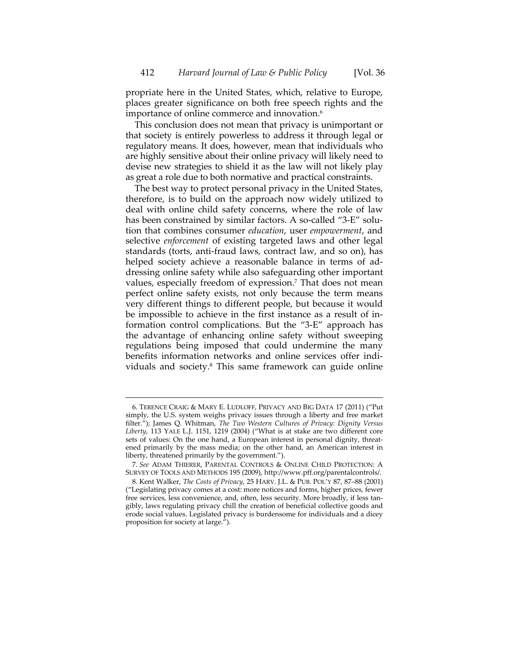propriate here in the United States, which, relative to Europe, places greater significance on both free speech rights and the importance of online commerce and innovation.<sup>6</sup>

This conclusion does not mean that privacy is unimportant or that society is entirely powerless to address it through legal or regulatory means. It does, however, mean that individuals who are highly sensitive about their online privacy will likely need to devise new strategies to shield it as the law will not likely play as great a role due to both normative and practical constraints.

The best way to protect personal privacy in the United States, therefore, is to build on the approach now widely utilized to deal with online child safety concerns, where the role of law has been constrained by similar factors. A so-called "3-E" solution that combines consumer *education*, user *empowerment*, and selective *enforcement* of existing targeted laws and other legal standards (torts, anti‐fraud laws, contract law, and so on), has helped society achieve a reasonable balance in terms of addressing online safety while also safeguarding other important values, especially freedom of expression.<sup>7</sup> That does not mean perfect online safety exists, not only because the term means very different things to different people, but because it would be impossible to achieve in the first instance as a result of in‐ formation control complications. But the "3‐E" approach has the advantage of enhancing online safety without sweeping regulations being imposed that could undermine the many benefits information networks and online services offer individuals and society.8 This same framework can guide online

<sup>6.</sup> TERENCE CRAIG & MARY E. LUDLOFF, PRIVACY AND BIG DATA 17 (2011) ("Put simply, the U.S. system weighs privacy issues through a liberty and free market filter."); James Q. Whitman, *The Two Western Cultures of Privacy: Dignity Versus Liberty*, 113 YALE L.J. 1151, 1219 (2004) ("What is at stake are two different core sets of values: On the one hand, a European interest in personal dignity, threatened primarily by the mass media; on the other hand, an American interest in liberty, threatened primarily by the government.").

<sup>7.</sup> *See* ADAM THIERER, PARENTAL CONTROLS & ONLINE CHILD PROTECTION: A SURVEY OF TOOLS AND METHODS 195 (2009), http://www.pff.org/parentalcontrols/.

<sup>8.</sup> Kent Walker, *The Costs of Privacy*, 25 HARV. J.L. & PUB. POL'Y 87, 87–88 (2001) ("Legislating privacy comes at a cost: more notices and forms, higher prices, fewer free services, less convenience, and, often, less security. More broadly, if less tangibly, laws regulating privacy chill the creation of beneficial collective goods and erode social values. Legislated privacy is burdensome for individuals and a dicey proposition for society at large.").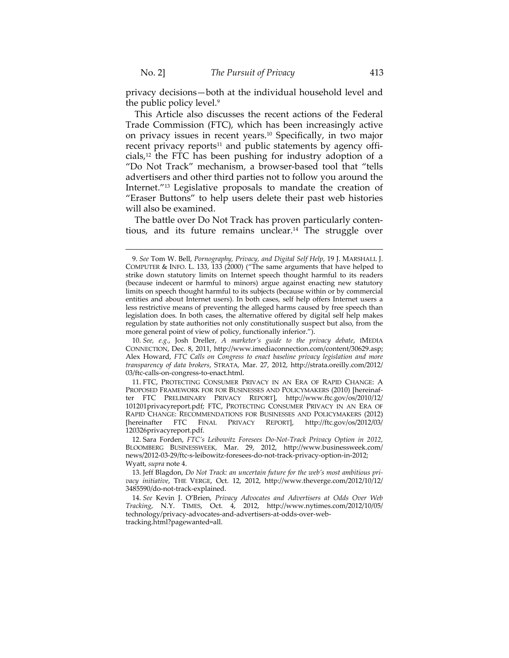$\overline{a}$ 

privacy decisions—both at the individual household level and the public policy level.9

This Article also discusses the recent actions of the Federal Trade Commission (FTC), which has been increasingly active on privacy issues in recent years.10 Specifically, in two major recent privacy reports $11$  and public statements by agency officials,12 the FTC has been pushing for industry adoption of a "Do Not Track" mechanism, a browser‐based tool that "tells advertisers and other third parties not to follow you around the Internet."13 Legislative proposals to mandate the creation of "Eraser Buttons" to help users delete their past web histories will also be examined.

The battle over Do Not Track has proven particularly conten‐ tious, and its future remains unclear.14 The struggle over

<sup>9.</sup> *See* Tom W. Bell, *Pornography, Privacy, and Digital Self Help*, 19 J. MARSHALL J. COMPUTER & INFO. L. 133, 133 (2000) ("The same arguments that have helped to strike down statutory limits on Internet speech thought harmful to its readers (because indecent or harmful to minors) argue against enacting new statutory limits on speech thought harmful to its subjects (because within or by commercial entities and about Internet users). In both cases, self help offers Internet users a less restrictive means of preventing the alleged harms caused by free speech than legislation does. In both cases, the alternative offered by digital self help makes regulation by state authorities not only constitutionally suspect but also, from the more general point of view of policy, functionally inferior.").

<sup>10.</sup> *See, e.g.*, Josh Dreller, *A marketer's guide to the privacy debate*, IMEDIA CONNECTION, Dec. 8, 2011, http://www.imediaconnection.com/content/30629.asp; Alex Howard, *FTC Calls on Congress to enact baseline privacy legislation and more transparency of data brokers*, STRATA*,* Mar. 27, 2012, http://strata.oreilly.com/2012/ 03/ftc‐calls‐on‐congress‐to‐enact.html.

<sup>11.</sup> FTC, PROTECTING CONSUMER PRIVACY IN AN ERA OF RAPID CHANGE: A PROPOSED FRAMEWORK FOR FOR BUSINESSES AND POLICYMAKERS (2010) [hereinaf‐ ter FTC PRELIMINARY PRIVACY REPORT], http://www.ftc.gov/os/2010/12/ 101201privacyreport.pdf; FTC, PROTECTING CONSUMER PRIVACY IN AN ERA OF RAPID CHANGE: RECOMMENDATIONS FOR BUSINESSES AND POLICYMAKERS (2012) [hereinafter FTC FINAL PRIVACY REPORT], http://ftc.gov/os/2012/03/ 120326privacyreport.pdf.

<sup>12.</sup> Sara Forden, *FTC's Leibowitz Foresees Do‐Not‐Track Privacy Option in 2012,* BLOOMBERG BUSINESSWEEK*,* Mar. 29, 2012, http://www.businessweek.com/ news/2012‐03‐29/ftc‐s‐leibowitz‐foresees‐do‐not‐track‐privacy‐option‐in‐2012; Wyatt, *supra* note 4.

<sup>13.</sup> Jeff Blagdon, *Do Not Track: an uncertain future for the web's most ambitious pri‐ vacy initiative*, THE VERGE, Oct. 12, 2012, http://www.theverge.com/2012/10/12/ 3485590/do‐not‐track‐explained.

<sup>14.</sup> *See* Kevin J. O'Brien, *Privacy Advocates and Advertisers at Odds Over Web Tracking*, N.Y. TIMES, Oct. 4, 2012, http://www.nytimes.com/2012/10/05/ technology/privacy‐advocates‐and‐advertisers‐at‐odds‐over‐web‐ tracking.html?pagewanted=all.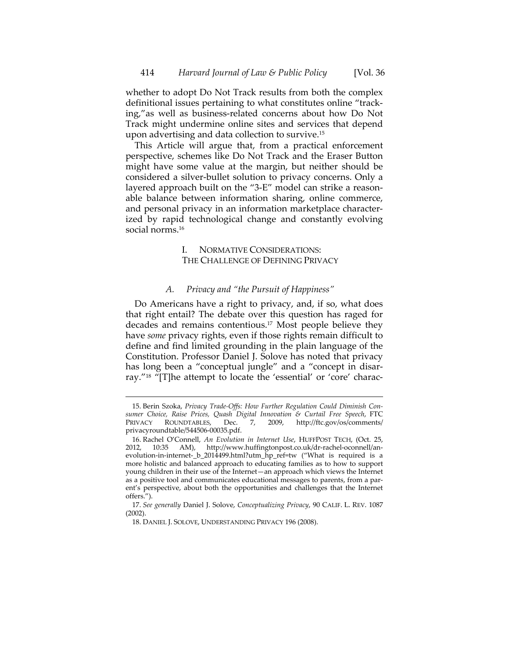whether to adopt Do Not Track results from both the complex definitional issues pertaining to what constitutes online "track‐ ing,"as well as business‐related concerns about how Do Not Track might undermine online sites and services that depend upon advertising and data collection to survive.15

This Article will argue that, from a practical enforcement perspective, schemes like Do Not Track and the Eraser Button might have some value at the margin, but neither should be considered a silver-bullet solution to privacy concerns. Only a layered approach built on the "3-E" model can strike a reasonable balance between information sharing, online commerce, and personal privacy in an information marketplace character‐ ized by rapid technological change and constantly evolving social norms.<sup>16</sup>

## I. NORMATIVE CONSIDERATIONS: THE CHALLENGE OF DEFINING PRIVACY

## *A. Privacy and "the Pursuit of Happiness"*

Do Americans have a right to privacy, and, if so, what does that right entail? The debate over this question has raged for decades and remains contentious.17 Most people believe they have *some* privacy rights, even if those rights remain difficult to define and find limited grounding in the plain language of the Constitution. Professor Daniel J. Solove has noted that privacy has long been a "conceptual jungle" and a "concept in disarray."<sup>18</sup> "[T]he attempt to locate the 'essential' or 'core' charac-

<sup>15.</sup> Berin Szoka, *Privacy Trade‐Offs: How Further Regulation Could Diminish Con‐ sumer Choice, Raise Prices, Quash Digital Innovation & Curtail Free Speech*, FTC PRIVACY ROUNDTABLES, Dec. 7, 2009, http://ftc.gov/os/comments/ privacyroundtable/544506‐00035.pdf.

<sup>16.</sup> Rachel O'Connell, *An Evolution in Internet Use*, HUFFPOST TECH, (Oct. 25, 2012, 10:35 AM), http://www.huffingtonpost.co.uk/dr‐rachel‐oconnell/an‐ evolution-in-internet-\_b\_2014499.html?utm\_hp\_ref=tw ("What is required is a more holistic and balanced approach to educating families as to how to support young children in their use of the Internet—an approach which views the Internet as a positive tool and communicates educational messages to parents, from a par‐ ent's perspective, about both the opportunities and challenges that the Internet offers.").

<sup>17.</sup> *See generally* Daniel J. Solove, *Conceptualizing Privacy*, 90 CALIF. L. REV. 1087 (2002).

<sup>18.</sup> DANIEL J. SOLOVE, UNDERSTANDING PRIVACY 196 (2008).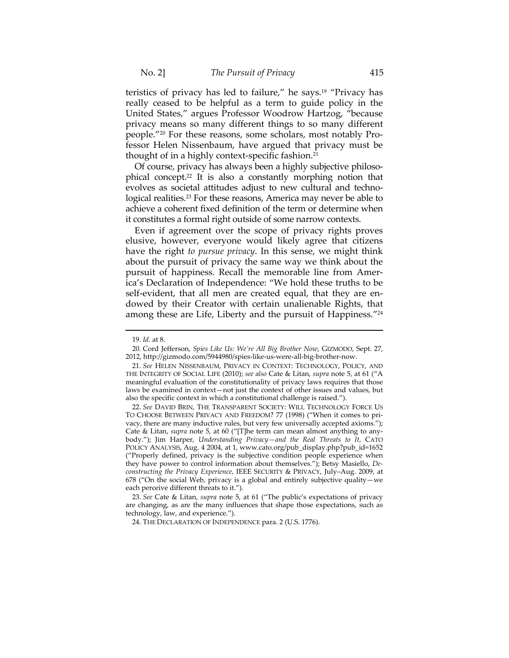teristics of privacy has led to failure," he says.19 "Privacy has really ceased to be helpful as a term to guide policy in the United States," argues Professor Woodrow Hartzog, "because privacy means so many different things to so many different people."20 For these reasons, some scholars, most notably Pro‐ fessor Helen Nissenbaum, have argued that privacy must be thought of in a highly context‐specific fashion.21

Of course, privacy has always been a highly subjective philoso‐ phical concept.22 It is also a constantly morphing notion that evolves as societal attitudes adjust to new cultural and technological realities.<sup>23</sup> For these reasons, America may never be able to achieve a coherent fixed definition of the term or determine when it constitutes a formal right outside of some narrow contexts.

Even if agreement over the scope of privacy rights proves elusive, however, everyone would likely agree that citizens have the right *to pursue privacy*. In this sense, we might think about the pursuit of privacy the same way we think about the pursuit of happiness. Recall the memorable line from Amer‐ ica's Declaration of Independence: "We hold these truths to be self-evident, that all men are created equal, that they are endowed by their Creator with certain unalienable Rights, that among these are Life, Liberty and the pursuit of Happiness."<sup>24</sup>

<sup>19.</sup> *Id.* at 8.

<sup>20.</sup> Cord Jefferson, *Spies Like Us: We're All Big Brother Now*, GIZMODO, Sept. 27, 2012, http://gizmodo.com/5944980/spies‐like‐us‐were‐all‐big‐brother‐now.

<sup>21.</sup> *See* HELEN NISSENBAUM, PRIVACY IN CONTEXT: TECHNOLOGY, POLICY, AND THE INTEGRITY OF SOCIAL LIFE (2010); *see also* Cate & Litan, *supra* note 5, at 61 ("A meaningful evaluation of the constitutionality of privacy laws requires that those laws be examined in context—not just the context of other issues and values, but also the specific context in which a constitutional challenge is raised.").

<sup>22.</sup> *See* DAVID BRIN, THE TRANSPARENT SOCIETY: WILL TECHNOLOGY FORCE US TO CHOOSE BETWEEN PRIVACY AND FREEDOM? 77 (1998) ("When it comes to pri‐ vacy, there are many inductive rules, but very few universally accepted axioms."); Cate & Litan, *supra* note 5, at 60 ("[T]he term can mean almost anything to any‐ body."); Jim Harper, *Understanding Privacy—and the Real Threats to It*, CATO POLICY ANALYSIS, Aug. 4 2004, at 1, www.cato.org/pub\_display.php?pub\_id=1652 ("Properly defined, privacy is the subjective condition people experience when they have power to control information about themselves."); Betsy Masiello, *De‐ constructing the Privacy Experience*, IEEE SECURITY & PRIVACY, July–Aug. 2009, at 678 ("On the social Web, privacy is a global and entirely subjective quality—we each perceive different threats to it.").

<sup>23.</sup> *See* Cate & Litan, *supra* note 5, at 61 ("The public's expectations of privacy are changing, as are the many influences that shape those expectations, such as technology, law, and experience.").

<sup>24.</sup> THE DECLARATION OF INDEPENDENCE para. 2 (U.S. 1776).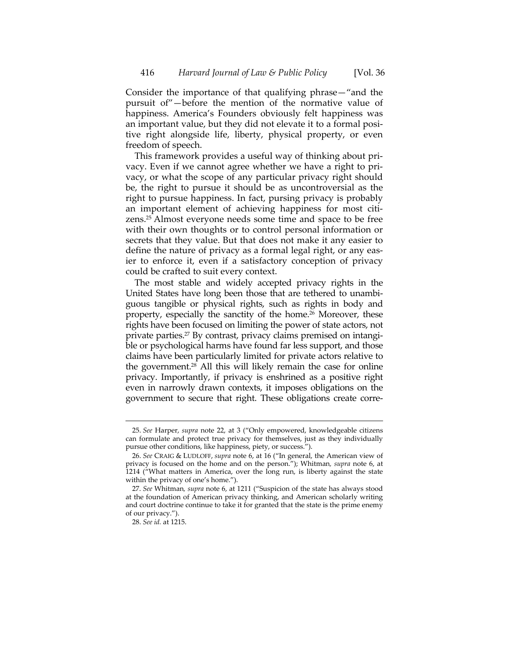Consider the importance of that qualifying phrase—"and the pursuit of"—before the mention of the normative value of happiness. America's Founders obviously felt happiness was an important value, but they did not elevate it to a formal posi‐ tive right alongside life, liberty, physical property, or even freedom of speech.

This framework provides a useful way of thinking about pri‐ vacy. Even if we cannot agree whether we have a right to pri‐ vacy, or what the scope of any particular privacy right should be, the right to pursue it should be as uncontroversial as the right to pursue happiness. In fact, pursing privacy is probably an important element of achieving happiness for most citizens.25 Almost everyone needs some time and space to be free with their own thoughts or to control personal information or secrets that they value. But that does not make it any easier to define the nature of privacy as a formal legal right, or any eas‐ ier to enforce it, even if a satisfactory conception of privacy could be crafted to suit every context.

The most stable and widely accepted privacy rights in the United States have long been those that are tethered to unambi‐ guous tangible or physical rights, such as rights in body and property, especially the sanctity of the home.<sup>26</sup> Moreover, these rights have been focused on limiting the power of state actors, not private parties.<sup>27</sup> By contrast, privacy claims premised on intangible or psychological harms have found far less support, and those claims have been particularly limited for private actors relative to the government.28 All this will likely remain the case for online privacy. Importantly, if privacy is enshrined as a positive right even in narrowly drawn contexts, it imposes obligations on the government to secure that right. These obligations create corre‐

<sup>25.</sup> *See* Harper, *supra* note 22, at 3 ("Only empowered, knowledgeable citizens can formulate and protect true privacy for themselves, just as they individually pursue other conditions, like happiness, piety, or success.").

<sup>26.</sup> *See* CRAIG & LUDLOFF, *supra* note 6, at 16 ("In general, the American view of privacy is focused on the home and on the person."); Whitman*, supra* note 6, at 1214 ("What matters in America, over the long run, is liberty against the state within the privacy of one's home.").

<sup>27.</sup> *See* Whitman*, supra* note 6, at 1211 ("Suspicion of the state has always stood at the foundation of American privacy thinking, and American scholarly writing and court doctrine continue to take it for granted that the state is the prime enemy of our privacy.").

<sup>28.</sup> *See id.* at 1215.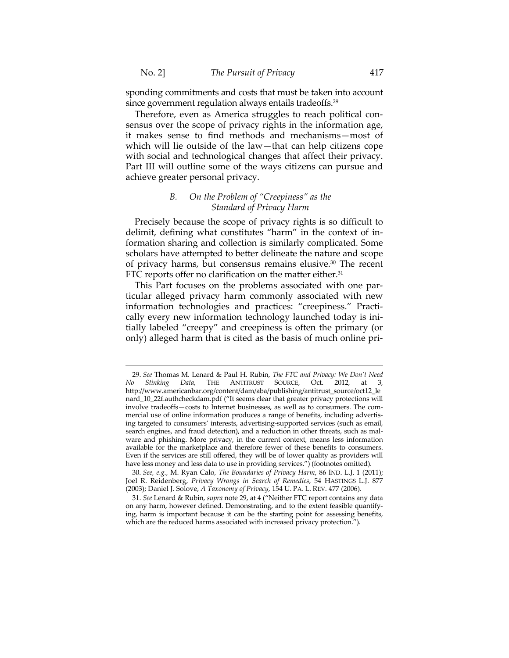sponding commitments and costs that must be taken into account since government regulation always entails tradeoffs.<sup>29</sup>

Therefore, even as America struggles to reach political consensus over the scope of privacy rights in the information age, it makes sense to find methods and mechanisms—most of which will lie outside of the law—that can help citizens cope with social and technological changes that affect their privacy. Part III will outline some of the ways citizens can pursue and achieve greater personal privacy.

## *B. On the Problem of "Creepiness" as the Standard of Privacy Harm*

Precisely because the scope of privacy rights is so difficult to delimit, defining what constitutes "harm" in the context of in‐ formation sharing and collection is similarly complicated. Some scholars have attempted to better delineate the nature and scope of privacy harms, but consensus remains elusive.30 The recent FTC reports offer no clarification on the matter either.<sup>31</sup>

This Part focuses on the problems associated with one par‐ ticular alleged privacy harm commonly associated with new information technologies and practices: "creepiness." Practi‐ cally every new information technology launched today is ini‐ tially labeled "creepy" and creepiness is often the primary (or only) alleged harm that is cited as the basis of much online pri‐

<sup>29.</sup> *See* Thomas M. Lenard & Paul H. Rubin, *The FTC and Privacy: We Don't Need No Stinking Data*, THE ANTITRUST SOURCE, Oct. 2012, at 3, http://www.americanbar.org/content/dam/aba/publishing/antitrust\_source/oct12\_le nard\_10\_22f.authcheckdam.pdf ("It seems clear that greater privacy protections will involve tradeoffs—costs to Internet businesses, as well as to consumers. The commercial use of online information produces a range of benefits, including advertis‐ ing targeted to consumers' interests, advertising‐supported services (such as email, search engines, and fraud detection), and a reduction in other threats, such as malware and phishing. More privacy, in the current context, means less information available for the marketplace and therefore fewer of these benefits to consumers. Even if the services are still offered, they will be of lower quality as providers will have less money and less data to use in providing services.") (footnotes omitted).

<sup>30.</sup> *See, e.g.*, M. Ryan Calo, *The Boundaries of Privacy Harm*, 86 IND. L.J. 1 (2011); Joel R. Reidenberg, *Privacy Wrongs in Search of Remedies*, 54 HASTINGS L.J. 877 (2003); Daniel J. Solove, *A Taxonomy of Privacy*, 154 U. PA. L. REV. 477 (2006).

<sup>31.</sup> *See* Lenard & Rubin, *supra* note 29, at 4 ("Neither FTC report contains any data on any harm, however defined. Demonstrating, and to the extent feasible quantify‐ ing, harm is important because it can be the starting point for assessing benefits, which are the reduced harms associated with increased privacy protection.").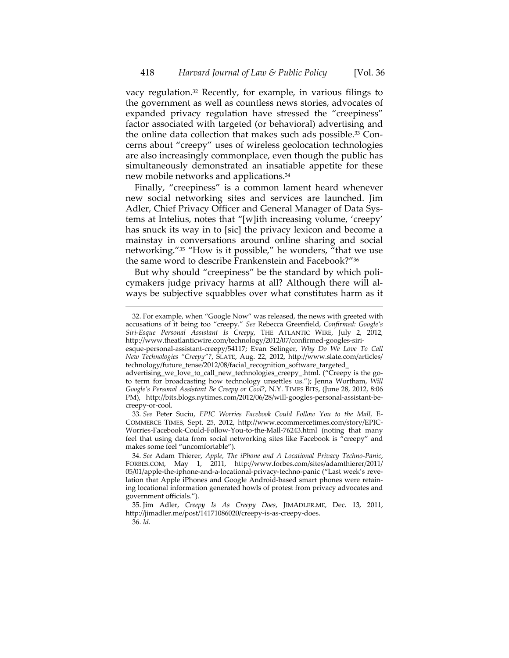vacy regulation.32 Recently, for example, in various filings to the government as well as countless news stories, advocates of expanded privacy regulation have stressed the "creepiness" factor associated with targeted (or behavioral) advertising and the online data collection that makes such ads possible.<sup>33</sup> Concerns about "creepy" uses of wireless geolocation technologies are also increasingly commonplace, even though the public has simultaneously demonstrated an insatiable appetite for these new mobile networks and applications.34

Finally, "creepiness" is a common lament heard whenever new social networking sites and services are launched. Jim Adler, Chief Privacy Officer and General Manager of Data Sys‐ tems at Intelius, notes that "[w]ith increasing volume, 'creepy' has snuck its way in to [sic] the privacy lexicon and become a mainstay in conversations around online sharing and social networking."35 "How is it possible," he wonders, "that we use the same word to describe Frankenstein and Facebook?"36

But why should "creepiness" be the standard by which policymakers judge privacy harms at all? Although there will al‐ ways be subjective squabbles over what constitutes harm as it

<sup>32.</sup> For example, when "Google Now" was released, the news with greeted with accusations of it being too "creepy." *See* Rebecca Greenfield, *Confirmed: Google's Siri‐Esque Personal Assistant Is Creepy*, THE ATLANTIC WIRE, July 2, 2012, http://www.theatlanticwire.com/technology/2012/07/confirmed‐googles‐siri‐

esque‐personal‐assistant‐creepy/54117; Evan Selinger, *Why Do We Love To Call New Technologies "Creepy"?*, SLATE, Aug. 22, 2012, http://www.slate.com/articles/ technology/future\_tense/2012/08/facial\_recognition\_software\_targeted\_

advertising\_we\_love\_to\_call\_new\_technologies\_creepy\_.html. ("Creepy is the goto term for broadcasting how technology unsettles us."); Jenna Wortham, *Will Google's Personal Assistant Be Creepy or Cool*?, N.Y. TIMES BITS, (June 28, 2012, 8:06 PM), http://bits.blogs.nytimes.com/2012/06/28/will‐googles‐personal‐assistant‐be‐ creepy‐or‐cool.

<sup>33.</sup> *See* Peter Suciu, *EPIC Worries Facebook Could Follow You to the Mall,* E‐ COMMERCE TIMES, Sept. 25, 2012, http://www.ecommercetimes.com/story/EPIC‐ Worries-Facebook-Could-Follow-You-to-the-Mall-76243.html (noting that many feel that using data from social networking sites like Facebook is "creepy" and makes some feel "uncomfortable").

<sup>34.</sup> *See* Adam Thierer, *Apple, The iPhone and A Locational Privacy Techno‐Panic*, FORBES.COM, May 1, 2011, http://www.forbes.com/sites/adamthierer/2011/ 05/01/apple-the-iphone-and-a-locational-privacy-techno-panic ("Last week's revelation that Apple iPhones and Google Android‐based smart phones were retain‐ ing locational information generated howls of protest from privacy advocates and government officials.").

<sup>35.</sup> Jim Adler, *Creepy Is As Creepy Does*, JIMADLER.ME*,* Dec. 13, 2011, http://jimadler.me/post/14171086020/creepy‐is‐as‐creepy‐does.

<sup>36.</sup> *Id.*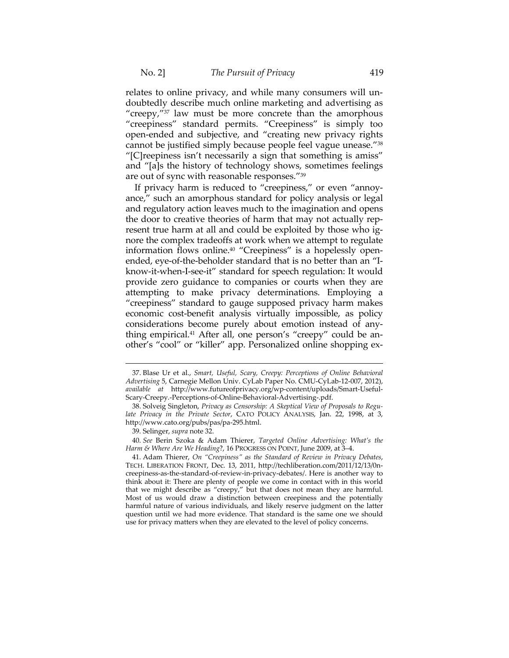relates to online privacy, and while many consumers will un‐ doubtedly describe much online marketing and advertising as "creepy,"<sup>37</sup> law must be more concrete than the amorphous "creepiness" standard permits. "Creepiness" is simply too open‐ended and subjective, and "creating new privacy rights cannot be justified simply because people feel vague unease."38 "[C]reepiness isn't necessarily a sign that something is amiss" and "[a]s the history of technology shows, sometimes feelings are out of sync with reasonable responses."39

If privacy harm is reduced to "creepiness," or even "annoy‐ ance," such an amorphous standard for policy analysis or legal and regulatory action leaves much to the imagination and opens the door to creative theories of harm that may not actually rep‐ resent true harm at all and could be exploited by those who ignore the complex tradeoffs at work when we attempt to regulate information flows online.<sup>40</sup> "Creepiness" is a hopelessly openended, eye-of-the-beholder standard that is no better than an "Iknow‐it‐when‐I‐see‐it" standard for speech regulation: It would provide zero guidance to companies or courts when they are attempting to make privacy determinations. Employing a "creepiness" standard to gauge supposed privacy harm makes economic cost-benefit analysis virtually impossible, as policy considerations become purely about emotion instead of any‐ thing empirical.<sup>41</sup> After all, one person's "creepy" could be another's "cool" or "killer" app. Personalized online shopping ex‐

<sup>37.</sup> Blase Ur et al., *Smart, Useful, Scary, Creepy: Perceptions of Online Behavioral Advertising* 5, Carnegie Mellon Univ. CyLab Paper No. CMU‐CyLab‐12‐007, 2012), *available at* http://www.futureofprivacy.org/wp‐content/uploads/Smart‐Useful‐ Scary‐Creepy.‐Perceptions‐of‐Online‐Behavioral‐Advertising‐.pdf.

<sup>38.</sup> Solveig Singleton, *Privacy as Censorship: A Skeptical View of Proposals to Regu‐ late Privacy in the Private Sector*, CATO POLICY ANALYSIS, Jan. 22, 1998, at 3, http://www.cato.org/pubs/pas/pa‐295.html.

<sup>39.</sup> Selinger, *supra* note 32.

<sup>40.</sup> *See* Berin Szoka & Adam Thierer, *Targeted Online Advertising: What's the Harm & Where Are We Heading*?, 16 PROGRESS ON POINT, June 2009, at 3–4.

<sup>41.</sup> Adam Thierer, *On "Creepiness" as the Standard of Review in Privacy Debates*, TECH. LIBERATION FRONT, Dec. 13, 2011, http://techliberation.com/2011/12/13/0n‐ creepiness‐as‐the‐standard‐of‐review‐in‐privacy‐debates/. Here is another way to think about it: There are plenty of people we come in contact with in this world that we might describe as "creepy," but that does not mean they are harmful. Most of us would draw a distinction between creepiness and the potentially harmful nature of various individuals, and likely reserve judgment on the latter question until we had more evidence. That standard is the same one we should use for privacy matters when they are elevated to the level of policy concerns.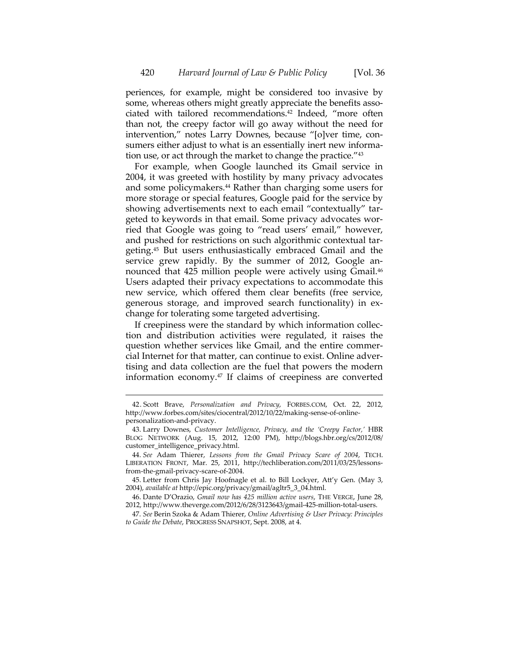periences, for example, might be considered too invasive by some, whereas others might greatly appreciate the benefits associated with tailored recommendations.42 Indeed, "more often than not, the creepy factor will go away without the need for intervention," notes Larry Downes, because "[o]ver time, consumers either adjust to what is an essentially inert new information use, or act through the market to change the practice."43

For example, when Google launched its Gmail service in 2004, it was greeted with hostility by many privacy advocates and some policymakers.<sup>44</sup> Rather than charging some users for more storage or special features, Google paid for the service by showing advertisements next to each email "contextually" tar‐ geted to keywords in that email. Some privacy advocates wor‐ ried that Google was going to "read users' email," however, and pushed for restrictions on such algorithmic contextual targeting.45 But users enthusiastically embraced Gmail and the service grew rapidly. By the summer of 2012, Google announced that 425 million people were actively using Gmail.<sup>46</sup> Users adapted their privacy expectations to accommodate this new service, which offered them clear benefits (free service, generous storage, and improved search functionality) in ex‐ change for tolerating some targeted advertising.

If creepiness were the standard by which information collec‐ tion and distribution activities were regulated, it raises the question whether services like Gmail, and the entire commer‐ cial Internet for that matter, can continue to exist. Online adver‐ tising and data collection are the fuel that powers the modern information economy.47 If claims of creepiness are converted

<sup>42.</sup> Scott Brave, *Personalization and Privacy*, FORBES.COM, Oct. 22, 2012, http://www.forbes.com/sites/ciocentral/2012/10/22/making‐sense‐of‐online‐ personalization‐and‐privacy.

<sup>43.</sup> Larry Downes, *Customer Intelligence, Privacy, and the 'Creepy Factor,'* HBR BLOG NETWORK (Aug. 15, 2012, 12:00 PM), http://blogs.hbr.org/cs/2012/08/ customer\_intelligence\_privacy.html.

<sup>44.</sup> *See* Adam Thierer, *Lessons from the Gmail Privacy Scare of 2004*, TECH. LIBERATION FRONT, Mar. 25, 2011, http://techliberation.com/2011/03/25/lessons‐ from‐the‐gmail‐privacy‐scare‐of‐2004.

<sup>45.</sup> Letter from Chris Jay Hoofnagle et al. to Bill Lockyer, Att'y Gen. (May 3, 2004), *available at* http://epic.org/privacy/gmail/agltr5\_3\_04.html.

<sup>46.</sup> Dante D'Orazio, *Gmail now has 425 million active users*, THE VERGE, June 28, 2012, http://www.theverge.com/2012/6/28/3123643/gmail-425-million-total-users.

<sup>47.</sup> *See* Berin Szoka & Adam Thierer, *Online Advertising & User Privacy: Principles to Guide the Debate*, PROGRESS SNAPSHOT, Sept. 2008, at 4.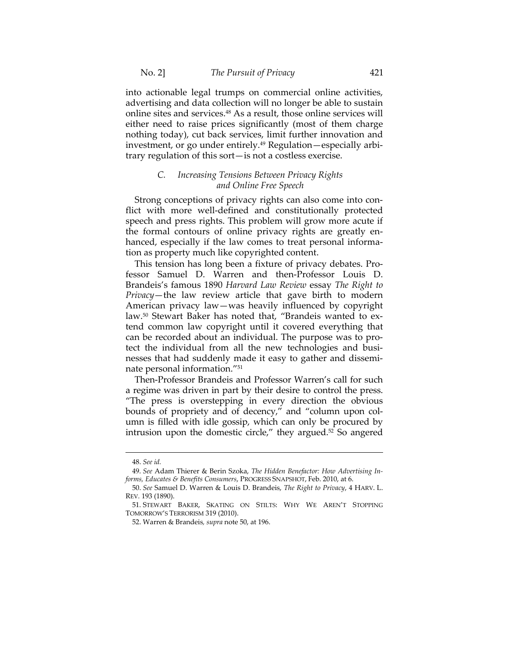into actionable legal trumps on commercial online activities, advertising and data collection will no longer be able to sustain online sites and services.48 As a result, those online services will either need to raise prices significantly (most of them charge nothing today), cut back services, limit further innovation and investment, or go under entirely.<sup>49</sup> Regulation—especially arbitrary regulation of this sort—is not a costless exercise.

## *C. Increasing Tensions Between Privacy Rights and Online Free Speech*

Strong conceptions of privacy rights can also come into con‐ flict with more well-defined and constitutionally protected speech and press rights. This problem will grow more acute if the formal contours of online privacy rights are greatly en‐ hanced, especially if the law comes to treat personal information as property much like copyrighted content.

This tension has long been a fixture of privacy debates. Pro‐ fessor Samuel D. Warren and then‐Professor Louis D. Brandeis's famous 1890 *Harvard Law Review* essay *The Right to Privacy*—the law review article that gave birth to modern American privacy law—was heavily influenced by copyright law.<sup>50</sup> Stewart Baker has noted that, "Brandeis wanted to extend common law copyright until it covered everything that can be recorded about an individual. The purpose was to pro‐ tect the individual from all the new technologies and busi‐ nesses that had suddenly made it easy to gather and dissemi‐ nate personal information."51

Then‐Professor Brandeis and Professor Warren's call for such a regime was driven in part by their desire to control the press. "The press is overstepping in every direction the obvious bounds of propriety and of decency," and "column upon column is filled with idle gossip, which can only be procured by intrusion upon the domestic circle," they argued.52 So angered

<sup>48.</sup> *See id.*

<sup>49.</sup> *See* Adam Thierer & Berin Szoka, *The Hidden Benefactor: How Advertising In‐ forms, Educates & Benefits Consumers*, PROGRESS SNAPSHOT, Feb. 2010, at 6.

<sup>50.</sup> *See* Samuel D. Warren & Louis D. Brandeis, *The Right to Privacy*, 4 HARV. L. REV*.* 193 (1890).

<sup>51.</sup> STEWART BAKER, SKATING ON STILTS: WHY WE AREN'T STOPPING TOMORROW'S TERRORISM 319 (2010).

<sup>52.</sup> Warren & Brandeis*, supra* note 50, at 196.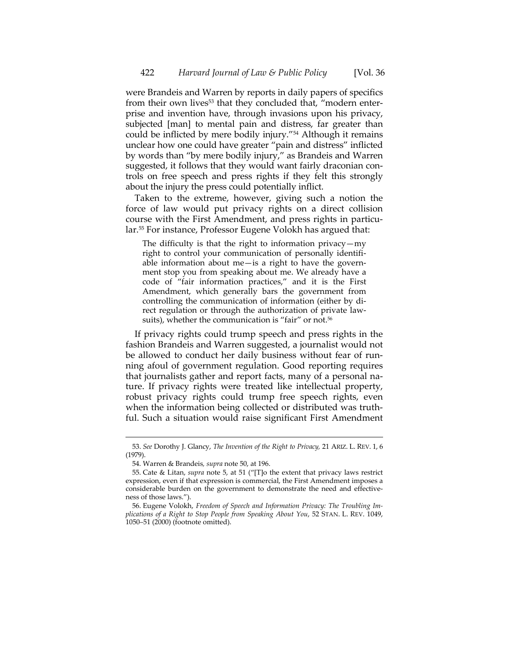were Brandeis and Warren by reports in daily papers of specifics from their own lives<sup>53</sup> that they concluded that, "modern enterprise and invention have, through invasions upon his privacy, subjected [man] to mental pain and distress, far greater than could be inflicted by mere bodily injury."54 Although it remains unclear how one could have greater "pain and distress" inflicted by words than "by mere bodily injury," as Brandeis and Warren suggested, it follows that they would want fairly draconian con‐ trols on free speech and press rights if they felt this strongly about the injury the press could potentially inflict.

Taken to the extreme, however, giving such a notion the force of law would put privacy rights on a direct collision course with the First Amendment, and press rights in particular.55 For instance, Professor Eugene Volokh has argued that:

The difficulty is that the right to information privacy—my right to control your communication of personally identifi‐ able information about me—is a right to have the government stop you from speaking about me. We already have a code of "fair information practices," and it is the First Amendment, which generally bars the government from controlling the communication of information (either by di‐ rect regulation or through the authorization of private law‐ suits), whether the communication is "fair" or not.<sup>56</sup>

If privacy rights could trump speech and press rights in the fashion Brandeis and Warren suggested, a journalist would not be allowed to conduct her daily business without fear of running afoul of government regulation. Good reporting requires that journalists gather and report facts, many of a personal na‐ ture. If privacy rights were treated like intellectual property, robust privacy rights could trump free speech rights, even when the information being collected or distributed was truthful. Such a situation would raise significant First Amendment

<sup>53.</sup> *See* Dorothy J. Glancy, *The Invention of the Right to Privacy,* 21 ARIZ. L. REV. 1, 6 (1979).

<sup>54.</sup> Warren & Brandeis*, supra* note 50, at 196.

<sup>55.</sup> Cate & Litan, *supra* note 5, at 51 ("[T]o the extent that privacy laws restrict expression, even if that expression is commercial, the First Amendment imposes a considerable burden on the government to demonstrate the need and effectiveness of those laws.").

<sup>56.</sup> Eugene Volokh, *Freedom of Speech and Information Privacy: The Troubling Im‐ plications of a Right to Stop People from Speaking About You*, 52 STAN. L. REV. 1049, 1050–51 (2000) (footnote omitted).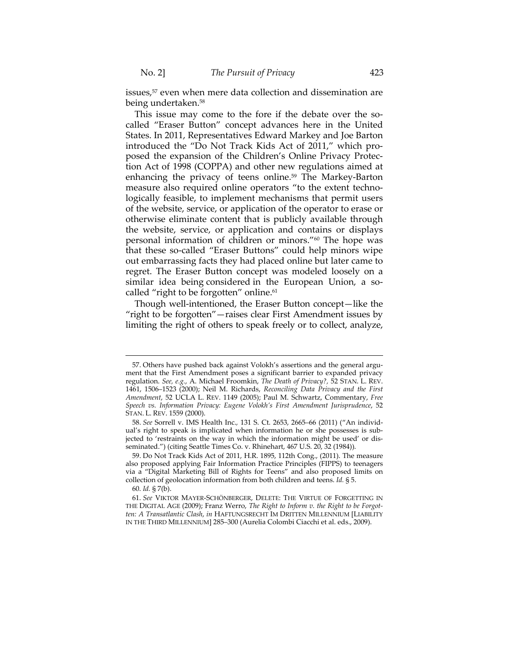issues,<sup>57</sup> even when mere data collection and dissemination are being undertaken.58

This issue may come to the fore if the debate over the socalled "Eraser Button" concept advances here in the United States. In 2011, Representatives Edward Markey and Joe Barton introduced the "Do Not Track Kids Act of 2011," which pro‐ posed the expansion of the Children's Online Privacy Protec‐ tion Act of 1998 (COPPA) and other new regulations aimed at enhancing the privacy of teens online.<sup>59</sup> The Markey-Barton measure also required online operators "to the extent technologically feasible, to implement mechanisms that permit users of the website, service, or application of the operator to erase or otherwise eliminate content that is publicly available through the website, service, or application and contains or displays personal information of children or minors."60 The hope was that these so‐called "Eraser Buttons" could help minors wipe out embarrassing facts they had placed online but later came to regret. The Eraser Button concept was modeled loosely on a similar idea being considered in the European Union, a socalled "right to be forgotten" online.<sup>61</sup>

Though well‐intentioned, the Eraser Button concept—like the "right to be forgotten"—raises clear First Amendment issues by limiting the right of others to speak freely or to collect, analyze,

<sup>57.</sup> Others have pushed back against Volokh's assertions and the general argument that the First Amendment poses a significant barrier to expanded privacy regulation. *See, e.g.*, A. Michael Froomkin, *The Death of Privacy?,* 52 STAN. L. REV. 1461, 1506–1523 (2000); Neil M. Richards, *Reconciling Data Privacy and the First Amendment*, 52 UCLA L. REV. 1149 (2005); Paul M. Schwartz, Commentary, *Free Speech vs. Information Privacy: Eugene Volokh's First Amendment Jurisprudence*, 52 STAN. L. REV. 1559 (2000).

<sup>58.</sup> *See* Sorrell v. IMS Health Inc.*,* 131 S. Ct. 2653, 2665–66 (2011) ("An individ‐ ual's right to speak is implicated when information he or she possesses is subjected to 'restraints on the way in which the information might be used' or disseminated.") (citing Seattle Times Co. v. Rhinehart, 467 U.S. 20, 32 (1984)).

<sup>59.</sup> Do Not Track Kids Act of 2011, H.R. 1895, 112th Cong., (2011). The measure also proposed applying Fair Information Practice Principles (FIPPS) to teenagers via a "Digital Marketing Bill of Rights for Teens" and also proposed limits on collection of geolocation information from both children and teens. *Id.* § 5.

<sup>60.</sup> *Id.* § 7(b).

<sup>61.</sup> *See* VIKTOR MAYER‐SCHÖNBERGER, DELETE: THE VIRTUE OF FORGETTING IN THE DIGITAL AGE (2009); Franz Werro, *The Right to Inform v. the Right to be Forgot‐ ten: A Transatlantic Clash*, *in* HAFTUNGSRECHT IM DRITTEN MILLENNIUM [LIABILITY IN THE THIRD MILLENNIUM] 285–300 (Aurelia Colombi Ciacchi et al. eds., 2009).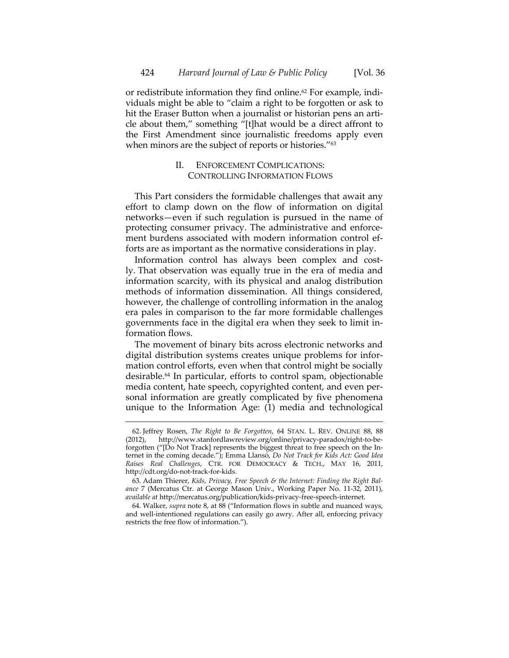or redistribute information they find online.<sup>62</sup> For example, individuals might be able to "claim a right to be forgotten or ask to hit the Eraser Button when a journalist or historian pens an article about them," something "[t]hat would be a direct affront to the First Amendment since journalistic freedoms apply even when minors are the subject of reports or histories."<sup>63</sup>

# II. ENFORCEMENT COMPLICATIONS: CONTROLLING INFORMATION FLOWS

This Part considers the formidable challenges that await any effort to clamp down on the flow of information on digital networks—even if such regulation is pursued in the name of protecting consumer privacy. The administrative and enforcement burdens associated with modern information control efforts are as important as the normative considerations in play.

Information control has always been complex and costly. That observation was equally true in the era of media and information scarcity, with its physical and analog distribution methods of information dissemination. All things considered, however, the challenge of controlling information in the analog era pales in comparison to the far more formidable challenges governments face in the digital era when they seek to limit in‐ formation flows.

The movement of binary bits across electronic networks and digital distribution systems creates unique problems for infor‐ mation control efforts, even when that control might be socially desirable.64 In particular, efforts to control spam, objectionable media content, hate speech, copyrighted content, and even per‐ sonal information are greatly complicated by five phenomena unique to the Information Age: (1) media and technological

<sup>62.</sup> Jeffrey Rosen, *The Right to Be Forgotten*, 64 STAN. L. REV. ONLINE 88, 88 (2012), http://www.stanfordlawreview.org/online/privacy‐paradox/right‐to‐be‐ forgotten ("[Do Not Track] represents the biggest threat to free speech on the In‐ ternet in the coming decade."); Emma Llansó, *Do Not Track for Kids Act: Good Idea Raises Real Challenges*, CTR. FOR DEMOCRACY & TECH., MAY 16, 2011, http://cdt.org/do‐not‐track‐for‐kids.

<sup>63.</sup> Adam Thierer, *Kids, Privacy, Free Speech & the Internet: Finding the Right Bal‐ ance* 7 (Mercatus Ctr. at George Mason Univ., Working Paper No. 11‐32, 2011), *available at* http://mercatus.org/publication/kids‐privacy‐free‐speech‐internet.

<sup>64.</sup> Walker, *supra* note 8, at 88 ("Information flows in subtle and nuanced ways, and well-intentioned regulations can easily go awry. After all, enforcing privacy restricts the free flow of information.").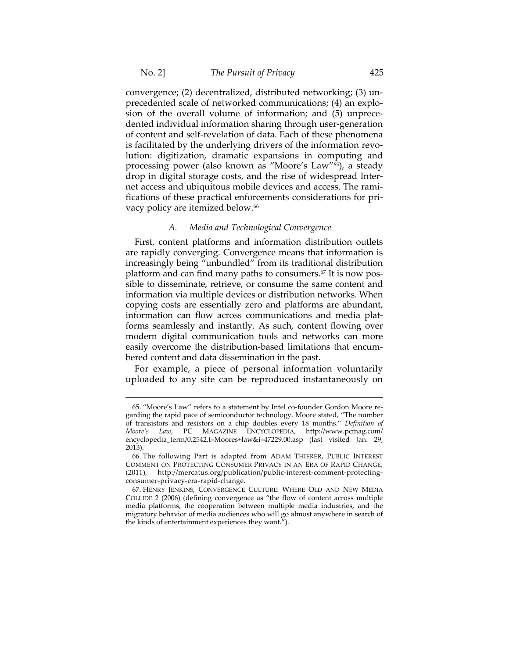convergence; (2) decentralized, distributed networking; (3) un‐ precedented scale of networked communications; (4) an explo‐ sion of the overall volume of information; and (5) unprece‐ dented individual information sharing through user‐generation of content and self‐revelation of data. Each of these phenomena is facilitated by the underlying drivers of the information revolution: digitization, dramatic expansions in computing and processing power (also known as "Moore's Law"65), a steady drop in digital storage costs, and the rise of widespread Inter‐ net access and ubiquitous mobile devices and access. The rami‐ fications of these practical enforcements considerations for pri‐ vacy policy are itemized below.<sup>66</sup>

## *A. Media and Technological Convergence*

First, content platforms and information distribution outlets are rapidly converging. Convergence means that information is increasingly being "unbundled" from its traditional distribution platform and can find many paths to consumers.<sup>67</sup> It is now possible to disseminate, retrieve, or consume the same content and information via multiple devices or distribution networks. When copying costs are essentially zero and platforms are abundant, information can flow across communications and media platforms seamlessly and instantly. As such, content flowing over modern digital communication tools and networks can more easily overcome the distribution‐based limitations that encum‐ bered content and data dissemination in the past.

For example, a piece of personal information voluntarily uploaded to any site can be reproduced instantaneously on

<sup>65. &</sup>quot;Moore's Law" refers to a statement by Intel co-founder Gordon Moore regarding the rapid pace of semiconductor technology. Moore stated, "The number of transistors and resistors on a chip doubles every 18 months." *Definition of Moore's Law*, PC MAGAZINE ENCYCLOPEDIA, http://www.pcmag.com/ encyclopedia\_term/0,2542,t=Moores+law&i=47229,00.asp (last visited Jan. 29, 2013).

<sup>66.</sup> The following Part is adapted from ADAM THIERER, PUBLIC INTEREST COMMENT ON PROTECTING CONSUMER PRIVACY IN AN ERA OF RAPID CHANGE, (2011), http://mercatus.org/publication/public-interest-comment-protectingconsumer‐privacy‐era‐rapid‐change.

<sup>67.</sup> HENRY JENKINS, CONVERGENCE CULTURE: WHERE OLD AND NEW MEDIA COLLIDE 2 (2006) (defining convergence as "the flow of content across multiple media platforms, the cooperation between multiple media industries, and the migratory behavior of media audiences who will go almost anywhere in search of the kinds of entertainment experiences they want.").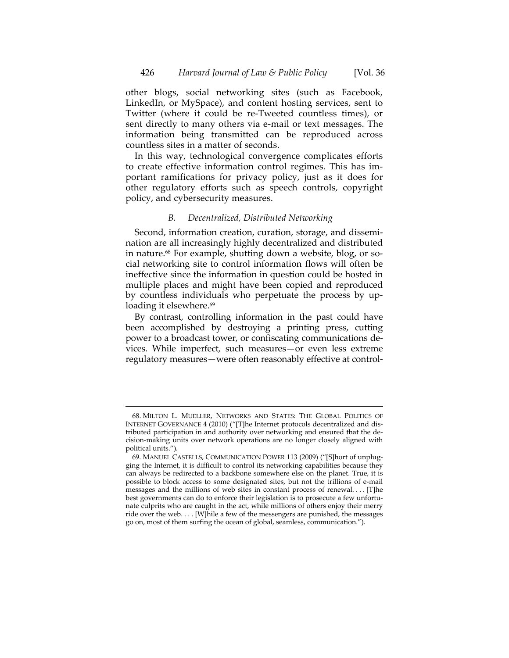other blogs, social networking sites (such as Facebook, LinkedIn, or MySpace), and content hosting services, sent to Twitter (where it could be re‐Tweeted countless times), or sent directly to many others via e‐mail or text messages. The information being transmitted can be reproduced across countless sites in a matter of seconds.

In this way, technological convergence complicates efforts to create effective information control regimes. This has im‐ portant ramifications for privacy policy, just as it does for other regulatory efforts such as speech controls, copyright policy, and cybersecurity measures.

## *B. Decentralized, Distributed Networking*

Second, information creation, curation, storage, and dissemination are all increasingly highly decentralized and distributed in nature.<sup>68</sup> For example, shutting down a website, blog, or social networking site to control information flows will often be ineffective since the information in question could be hosted in multiple places and might have been copied and reproduced by countless individuals who perpetuate the process by up‐ loading it elsewhere.<sup>69</sup>

By contrast, controlling information in the past could have been accomplished by destroying a printing press, cutting power to a broadcast tower, or confiscating communications de‐ vices. While imperfect, such measures—or even less extreme regulatory measures—were often reasonably effective at control‐

<sup>68.</sup> MILTON L. MUELLER, NETWORKS AND STATES: THE GLOBAL POLITICS OF INTERNET GOVERNANCE 4 (2010) ("[T]he Internet protocols decentralized and dis‐ tributed participation in and authority over networking and ensured that the de‐ cision‐making units over network operations are no longer closely aligned with political units.").

<sup>69.</sup> MANUEL CASTELLS, COMMUNICATION POWER 113 (2009) ("[S]hort of unplug‐ ging the Internet, it is difficult to control its networking capabilities because they can always be redirected to a backbone somewhere else on the planet. True, it is possible to block access to some designated sites, but not the trillions of e‐mail messages and the millions of web sites in constant process of renewal. . . . [T]he best governments can do to enforce their legislation is to prosecute a few unfortunate culprits who are caught in the act, while millions of others enjoy their merry ride over the web. . . . [W]hile a few of the messengers are punished, the messages go on, most of them surfing the ocean of global, seamless, communication.").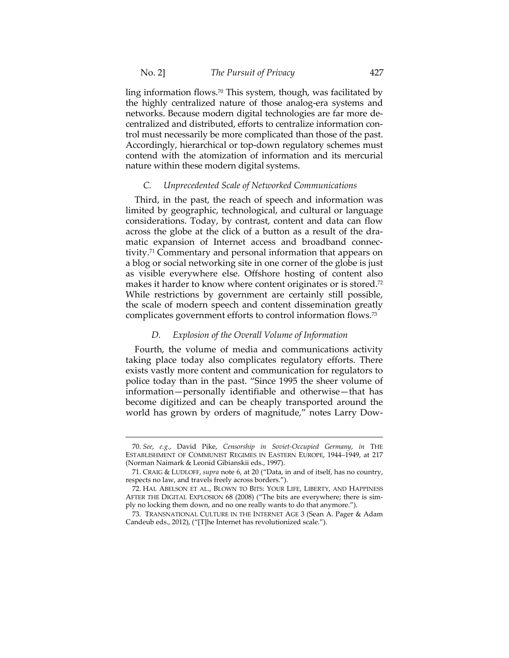ling information flows.70 This system, though, was facilitated by the highly centralized nature of those analog‐era systems and networks. Because modern digital technologies are far more de‐ centralized and distributed, efforts to centralize information con‐ trol must necessarily be more complicated than those of the past. Accordingly, hierarchical or top‐down regulatory schemes must contend with the atomization of information and its mercurial nature within these modern digital systems.

## *C. Unprecedented Scale of Networked Communications*

Third, in the past, the reach of speech and information was limited by geographic, technological, and cultural or language considerations. Today, by contrast, content and data can flow across the globe at the click of a button as a result of the dra‐ matic expansion of Internet access and broadband connectivity.71 Commentary and personal information that appears on a blog or social networking site in one corner of the globe is just as visible everywhere else. Offshore hosting of content also makes it harder to know where content originates or is stored.<sup>72</sup> While restrictions by government are certainly still possible, the scale of modern speech and content dissemination greatly complicates government efforts to control information flows.73

## *D. Explosion of the Overall Volume of Information*

Fourth, the volume of media and communications activity taking place today also complicates regulatory efforts. There exists vastly more content and communication for regulators to police today than in the past. "Since 1995 the sheer volume of information—personally identifiable and otherwise—that has become digitized and can be cheaply transported around the world has grown by orders of magnitude," notes Larry Dow‐

<sup>70.</sup> *See*, *e.g.*, David Pike, *Censorship in Soviet‐Occupied Germany*, *in* THE ESTABLISHMENT OF COMMUNIST REGIMES IN EASTERN EUROPE, 1944–1949, at 217 (Norman Naimark & Leonid Gibianskii eds., 1997).

<sup>71.</sup> CRAIG & LUDLOFF, *supra* note 6, at 20 ("Data, in and of itself, has no country, respects no law, and travels freely across borders.").

<sup>72.</sup> HAL ABELSON ET AL., BLOWN TO BITS: YOUR LIFE, LIBERTY, AND HAPPINESS AFTER THE DIGITAL EXPLOSION 68 (2008) ("The bits are everywhere; there is sim‐ ply no locking them down, and no one really wants to do that anymore.").

<sup>73.</sup> TRANSNATIONAL CULTURE IN THE INTERNET AGE 3 (Sean A. Pager & Adam Candeub eds., 2012), ("[T]he Internet has revolutionized scale.").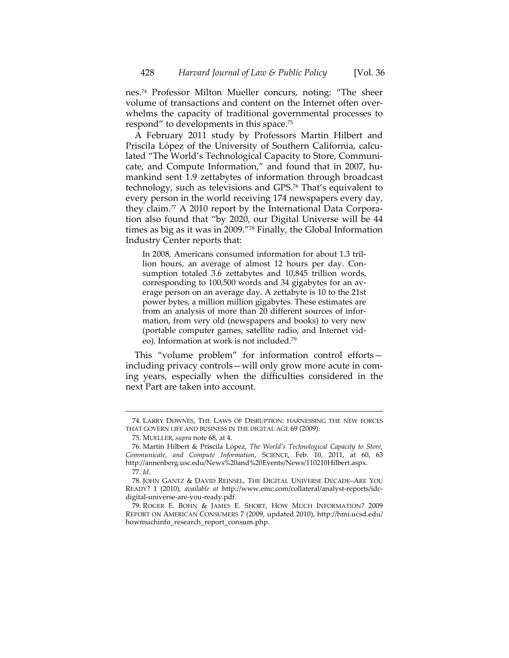nes.74 Professor Milton Mueller concurs, noting: "The sheer volume of transactions and content on the Internet often over‐ whelms the capacity of traditional governmental processes to respond" to developments in this space.75

A February 2011 study by Professors Martin Hilbert and Priscila López of the University of Southern California, calculated "The World's Technological Capacity to Store, Communi‐ cate, and Compute Information," and found that in 2007, humankind sent 1.9 zettabytes of information through broadcast technology, such as televisions and GPS.76 That's equivalent to every person in the world receiving 174 newspapers every day, they claim.77 A 2010 report by the International Data Corpora‐ tion also found that "by 2020, our Digital Universe will be 44 times as big as it was in 2009."78 Finally, the Global Information Industry Center reports that:

In 2008, Americans consumed information for about 1.3 tril‐ lion hours, an average of almost 12 hours per day. Con‐ sumption totaled 3.6 zettabytes and 10,845 trillion words, corresponding to 100,500 words and 34 gigabytes for an av‐ erage person on an average day. A zettabyte is 10 to the 21st power bytes, a million million gigabytes. These estimates are from an analysis of more than 20 different sources of information, from very old (newspapers and books) to very new (portable computer games, satellite radio, and Internet vid‐ eo). Information at work is not included.79

This "volume problem" for information control efforts including privacy controls—will only grow more acute in com‐ ing years, especially when the difficulties considered in the next Part are taken into account.

<sup>74.</sup> LARRY DOWNES, THE LAWS OF DISRUPTION: HARNESSING THE NEW FORCES THAT GOVERN LIFE AND BUSINESS IN THE DIGITAL AGE 69 (2009).

<sup>75.</sup> MUELLER, *supra* note 68, at 4.

<sup>76.</sup> Martin Hilbert & Priscila López, *The World's Technological Capacity to Store, Communicate, and Compute Information*, SCIENCE, Feb. 10, 2011, at 60, 63 http://annenberg.usc.edu/News%20and%20Events/News/110210Hilbert.aspx.

<sup>77.</sup> *Id.*

<sup>78.</sup> JOHN GANTZ & DAVID REINSEL, THE DIGITAL UNIVERSE DECADE–ARE YOU READY? 1 (2010), *available at* http://www.emc.com/collateral/analyst-reports/idcdigital‐universe‐are‐you‐ready.pdf.

<sup>79.</sup> ROGER E. BOHN & JAMES E. SHORT, HOW MUCH INFORMATION? 2009 REPORT ON AMERICAN CONSUMERS 7 (2009, updated 2010), http://hmi.ucsd.edu/ howmuchinfo\_research\_report\_consum.php.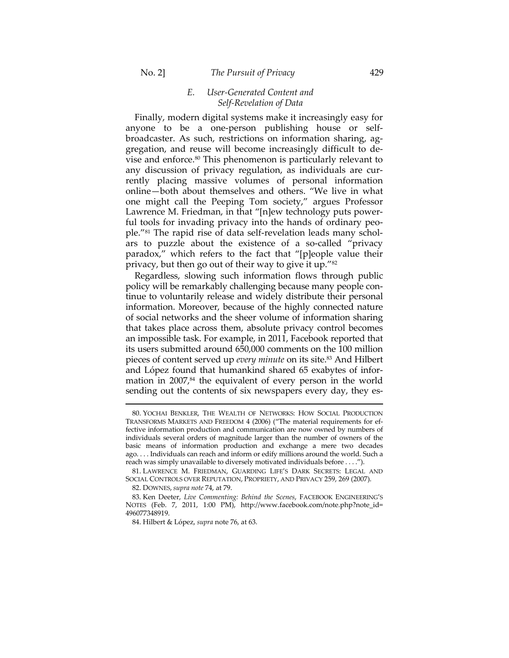## No. 2] *The Pursuit of Privacy* 429

## *E. User‐Generated Content and Self‐Revelation of Data*

Finally, modern digital systems make it increasingly easy for anyone to be a one-person publishing house or selfbroadcaster. As such, restrictions on information sharing, ag‐ gregation, and reuse will become increasingly difficult to de‐ vise and enforce.80 This phenomenon is particularly relevant to any discussion of privacy regulation, as individuals are cur‐ rently placing massive volumes of personal information online—both about themselves and others. "We live in what one might call the Peeping Tom society," argues Professor Lawrence M. Friedman, in that "[n]ew technology puts power‐ ful tools for invading privacy into the hands of ordinary people."<sup>81</sup> The rapid rise of data self-revelation leads many scholars to puzzle about the existence of a so‐called "privacy paradox," which refers to the fact that "[p]eople value their privacy, but then go out of their way to give it up."82

Regardless, slowing such information flows through public policy will be remarkably challenging because many people con‐ tinue to voluntarily release and widely distribute their personal information. Moreover, because of the highly connected nature of social networks and the sheer volume of information sharing that takes place across them, absolute privacy control becomes an impossible task. For example, in 2011, Facebook reported that its users submitted around 650,000 comments on the 100 million pieces of content served up *every minute* on its site.83 And Hilbert and López found that humankind shared 65 exabytes of infor‐ mation in  $2007<sub>64</sub>$  the equivalent of every person in the world sending out the contents of six newspapers every day, they es-

82. DOWNES, *supra note* 74, at 79.

<sup>80.</sup> YOCHAI BENKLER, THE WEALTH OF NETWORKS: HOW SOCIAL PRODUCTION TRANSFORMS MARKETS AND FREEDOM 4 (2006) ("The material requirements for ef‐ fective information production and communication are now owned by numbers of individuals several orders of magnitude larger than the number of owners of the basic means of information production and exchange a mere two decades ago. . . . Individuals can reach and inform or edify millions around the world. Such a reach was simply unavailable to diversely motivated individuals before . . . .").

<sup>81.</sup> LAWRENCE M. FRIEDMAN, GUARDING LIFE'S DARK SECRETS: LEGAL AND SOCIAL CONTROLS OVER REPUTATION, PROPRIETY, AND PRIVACY 259, 269 (2007).

<sup>83.</sup> Ken Deeter, *Live Commenting: Behind the Scenes*, FACEBOOK ENGINEERING'S NOTES (Feb. 7, 2011, 1:00 PM), http://www.facebook.com/note.php?note\_id= 496077348919.

<sup>84.</sup> Hilbert & López, *supra* note 76, at 63.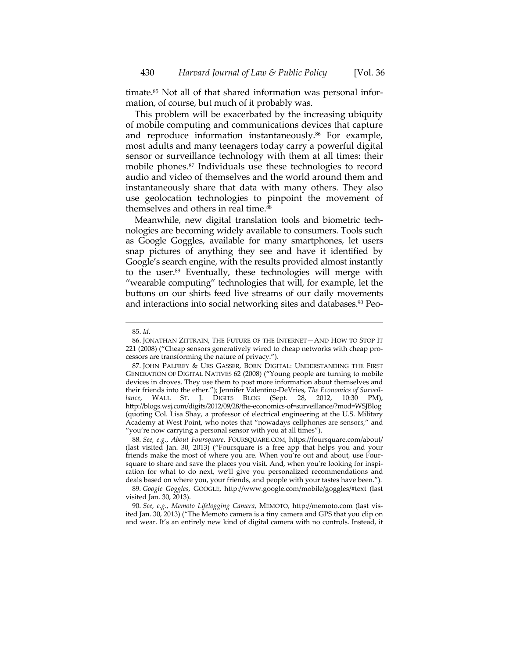timate.<sup>85</sup> Not all of that shared information was personal information, of course, but much of it probably was.

This problem will be exacerbated by the increasing ubiquity of mobile computing and communications devices that capture and reproduce information instantaneously.<sup>86</sup> For example, most adults and many teenagers today carry a powerful digital sensor or surveillance technology with them at all times: their mobile phones.87 Individuals use these technologies to record audio and video of themselves and the world around them and instantaneously share that data with many others. They also use geolocation technologies to pinpoint the movement of themselves and others in real time.<sup>88</sup>

Meanwhile, new digital translation tools and biometric technologies are becoming widely available to consumers. Tools such as Google Goggles, available for many smartphones, let users snap pictures of anything they see and have it identified by Google's search engine, with the results provided almost instantly to the user.89 Eventually, these technologies will merge with "wearable computing" technologies that will, for example, let the buttons on our shirts feed live streams of our daily movements and interactions into social networking sites and databases.<sup>90</sup> Peo-

 $\overline{a}$ 

88. *See, e.g.*, *About Foursquare*, FOURSQUARE.COM, https://foursquare.com/about/ (last visited Jan. 30, 2013) ("Foursquare is a free app that helps you and your friends make the most of where you are. When you're out and about, use Foursquare to share and save the places you visit. And, when you're looking for inspiration for what to do next, we'll give you personalized recommendations and deals based on where you, your friends, and people with your tastes have been.").

89. *Google Goggles*, GOOGLE, http://www.google.com/mobile/goggles/#text (last visited Jan. 30, 2013).

90. *See, e.g.*, *Memoto Lifelogging Camera*, MEMOTO, http://memoto.com (last vis‐ ited Jan. 30, 2013) ("The Memoto camera is a tiny camera and GPS that you clip on and wear. It's an entirely new kind of digital camera with no controls. Instead, it

<sup>85.</sup> *Id.*

<sup>86.</sup> JONATHAN ZITTRAIN, THE FUTURE OF THE INTERNET—AND HOW TO STOP IT 221 (2008) ("Cheap sensors generatively wired to cheap networks with cheap pro‐ cessors are transforming the nature of privacy.").

<sup>87.</sup> JOHN PALFREY & URS GASSER, BORN DIGITAL: UNDERSTANDING THE FIRST GENERATION OF DIGITAL NATIVES 62 (2008) ("Young people are turning to mobile devices in droves. They use them to post more information about themselves and their friends into the ether."); Jennifer Valentino‐DeVries, *The Economics of Surveil‐ lance*, WALL ST. J. DIGITS BLOG (Sept. 28, 2012, 10:30 PM), http://blogs.wsj.com/digits/2012/09/28/the‐economics‐of=surveillance/?mod=WSJBlog (quoting Col. Lisa Shay, a professor of electrical engineering at the U.S. Military Academy at West Point, who notes that "nowadays cellphones are sensors," and "you're now carrying a personal sensor with you at all times").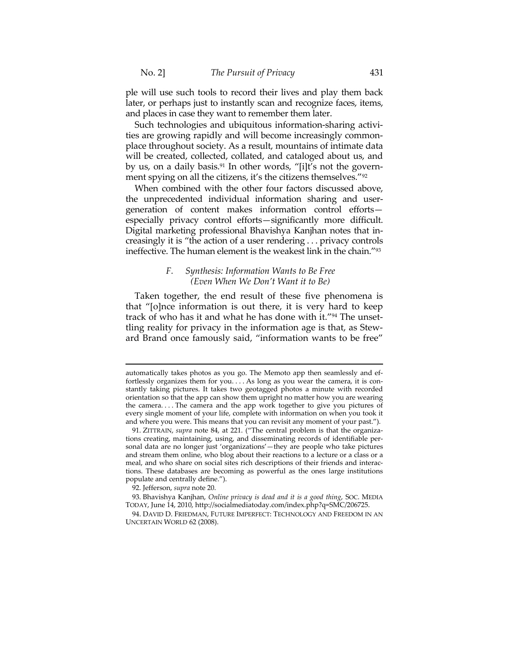ple will use such tools to record their lives and play them back later, or perhaps just to instantly scan and recognize faces, items, and places in case they want to remember them later.

Such technologies and ubiquitous information-sharing activities are growing rapidly and will become increasingly commonplace throughout society. As a result, mountains of intimate data will be created, collected, collated, and cataloged about us, and by us, on a daily basis.<sup>91</sup> In other words, "[i]t's not the government spying on all the citizens, it's the citizens themselves."<sup>92</sup>

When combined with the other four factors discussed above, the unprecedented individual information sharing and user‐ generation of content makes information control efforts especially privacy control efforts—significantly more difficult. Digital marketing professional Bhavishya Kanjhan notes that in‐ creasingly it is "the action of a user rendering . . . privacy controls ineffective. The human element is the weakest link in the chain."93

## *F. Synthesis: Information Wants to Be Free (Even When We Don't Want it to Be)*

Taken together, the end result of these five phenomena is that "[o]nce information is out there, it is very hard to keep track of who has it and what he has done with it."94 The unset‐ tling reality for privacy in the information age is that, as Stew‐ ard Brand once famously said, "information wants to be free"

92. Jefferson, *supra* note 20.

automatically takes photos as you go. The Memoto app then seamlessly and ef‐ fortlessly organizes them for you.... As long as you wear the camera, it is constantly taking pictures. It takes two geotagged photos a minute with recorded orientation so that the app can show them upright no matter how you are wearing the camera. . . . The camera and the app work together to give you pictures of every single moment of your life, complete with information on when you took it and where you were. This means that you can revisit any moment of your past.").

<sup>91.</sup> ZITTRAIN, *supra* note 84, at 221. ("The central problem is that the organizations creating, maintaining, using, and disseminating records of identifiable per‐ sonal data are no longer just 'organizations'—they are people who take pictures and stream them online, who blog about their reactions to a lecture or a class or a meal, and who share on social sites rich descriptions of their friends and interac‐ tions. These databases are becoming as powerful as the ones large institutions populate and centrally define.").

<sup>93.</sup> Bhavishya Kanjhan, *Online privacy is dead and it is a good thing*, SOC. MEDIA TODAY, June 14, 2010, http://socialmediatoday.com/index.php?q=SMC/206725.

<sup>94.</sup> DAVID D. FRIEDMAN, FUTURE IMPERFECT: TECHNOLOGY AND FREEDOM IN AN UNCERTAIN WORLD 62 (2008).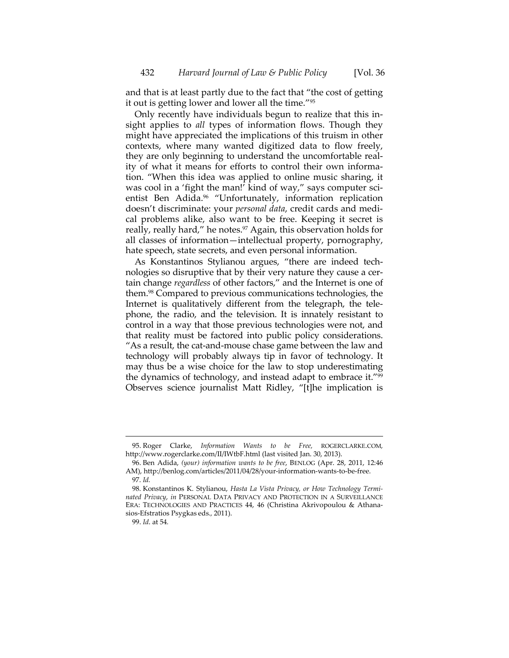and that is at least partly due to the fact that "the cost of getting it out is getting lower and lower all the time."95

Only recently have individuals begun to realize that this in‐ sight applies to *all* types of information flows. Though they might have appreciated the implications of this truism in other contexts, where many wanted digitized data to flow freely, they are only beginning to understand the uncomfortable real‐ ity of what it means for efforts to control their own informa‐ tion. "When this idea was applied to online music sharing, it was cool in a 'fight the man!' kind of way," says computer scientist Ben Adida.<sup>96</sup> "Unfortunately, information replication doesn't discriminate: your *personal data*, credit cards and medi‐ cal problems alike, also want to be free. Keeping it secret is really, really hard," he notes.<sup>97</sup> Again, this observation holds for all classes of information—intellectual property, pornography, hate speech, state secrets, and even personal information.

As Konstantinos Stylianou argues, "there are indeed tech‐ nologies so disruptive that by their very nature they cause a cer‐ tain change *regardless* of other factors," and the Internet is one of them.98 Compared to previous communications technologies, the Internet is qualitatively different from the telegraph, the tele‐ phone, the radio, and the television. It is innately resistant to control in a way that those previous technologies were not, and that reality must be factored into public policy considerations. "As a result, the cat‐and‐mouse chase game between the law and technology will probably always tip in favor of technology. It may thus be a wise choice for the law to stop underestimating the dynamics of technology, and instead adapt to embrace it."99 Observes science journalist Matt Ridley, "[t]he implication is

<sup>95.</sup> Roger Clarke, *Information Wants to be Free,* ROGERCLARKE.COM*,* http://www.rogerclarke.com/II/IWtbF.html (last visited Jan. 30, 2013).

<sup>96.</sup> Ben Adida, *(your) information wants to be free*, BENLOG (Apr. 28, 2011, 12:46 AM), http://benlog.com/articles/2011/04/28/your-information-wants-to-be-free. 97. *Id.*

<sup>98.</sup> Konstantinos K. Stylianou, *Hasta La Vista Privacy, or How Technology Termi‐ nated Privacy*, *in* PERSONAL DATA PRIVACY AND PROTECTION IN A SURVEILLANCE ERA: TECHNOLOGIES AND PRACTICES 44, 46 (Christina Akrivopoulou & Athana‐ sios‐Efstratios Psygkas eds.*,* 2011).

<sup>99.</sup> *Id*. at 54*.*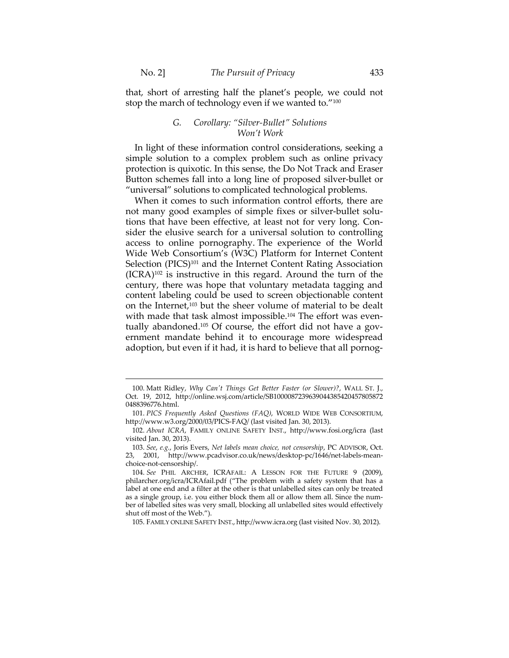$\overline{a}$ 

that, short of arresting half the planet's people, we could not stop the march of technology even if we wanted to."<sup>100</sup>

## *G. Corollary: "Silver‐Bullet" Solutions Won't Work*

In light of these information control considerations, seeking a simple solution to a complex problem such as online privacy protection is quixotic. In this sense, the Do Not Track and Eraser Button schemes fall into a long line of proposed silver‐bullet or "universal" solutions to complicated technological problems.

When it comes to such information control efforts, there are not many good examples of simple fixes or silver-bullet solutions that have been effective, at least not for very long. Con‐ sider the elusive search for a universal solution to controlling access to online pornography. The experience of the World Wide Web Consortium's (W3C) Platform for Internet Content Selection (PICS)<sup>101</sup> and the Internet Content Rating Association  $(ICRA)^{102}$  is instructive in this regard. Around the turn of the century, there was hope that voluntary metadata tagging and content labeling could be used to screen objectionable content on the Internet,103 but the sheer volume of material to be dealt with made that task almost impossible.<sup>104</sup> The effort was eventually abandoned.<sup>105</sup> Of course, the effort did not have a government mandate behind it to encourage more widespread adoption, but even if it had, it is hard to believe that all pornog‐

105. FAMILY ONLINE SAFETY INST., http://www.icra.org (last visited Nov. 30, 2012).

<sup>100.</sup> Matt Ridley, *Why Canʹt Things Get Better Faster (or Slower)?*, WALL ST. J., Oct. 19, 2012, http://online.wsj.com/article/SB1000087239639044385420457805872 0488396776.html.

<sup>101.</sup> *PICS Frequently Asked Questions (FAQ)*, WORLD WIDE WEB CONSORTIUM, http://www.w3.org/2000/03/PICS‐FAQ/ (last visited Jan. 30, 2013).

<sup>102.</sup> *About ICRA*, FAMILY ONLINE SAFETY INST., http://www.fosi.org/icra (last visited Jan. 30, 2013).

<sup>103.</sup> *See*, *e.g.*, Joris Evers, *Net labels mean choice, not censorship*, PC ADVISOR, Oct. 23, 2001, http://www.pcadvisor.co.uk/news/desktop‐pc/1646/net‐labels‐mean‐ choice‐not‐censorship/.

<sup>104.</sup> *See* PHIL ARCHER, ICRAFAIL: A LESSON FOR THE FUTURE 9 (2009), philarcher.org/icra/ICRAfail.pdf ("The problem with a safety system that has a label at one end and a filter at the other is that unlabelled sites can only be treated as a single group, i.e. you either block them all or allow them all. Since the number of labelled sites was very small, blocking all unlabelled sites would effectively shut off most of the Web.").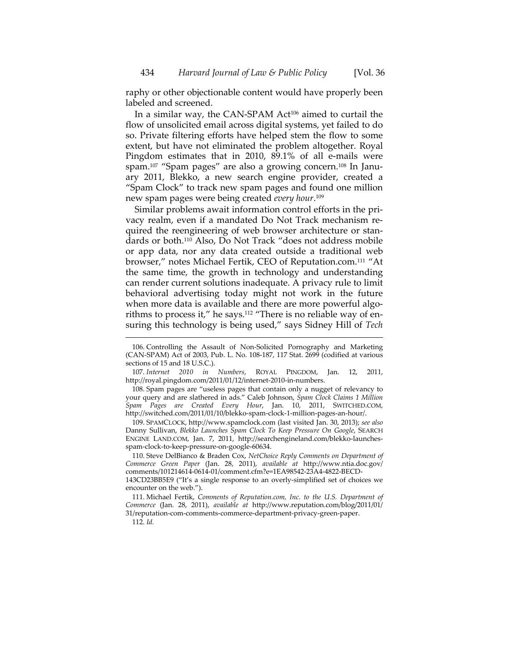raphy or other objectionable content would have properly been labeled and screened.

In a similar way, the CAN-SPAM Act<sup>106</sup> aimed to curtail the flow of unsolicited email across digital systems, yet failed to do so. Private filtering efforts have helped stem the flow to some extent, but have not eliminated the problem altogether. Royal Pingdom estimates that in 2010, 89.1% of all e-mails were spam.<sup>107</sup> "Spam pages" are also a growing concern.<sup>108</sup> In January 2011, Blekko, a new search engine provider, created a "Spam Clock" to track new spam pages and found one million new spam pages were being created *every hour*. 109

Similar problems await information control efforts in the pri‐ vacy realm, even if a mandated Do Not Track mechanism re‐ quired the reengineering of web browser architecture or standards or both.110 Also, Do Not Track "does not address mobile or app data, nor any data created outside a traditional web browser," notes Michael Fertik, CEO of Reputation.com.111 "At the same time, the growth in technology and understanding can render current solutions inadequate. A privacy rule to limit behavioral advertising today might not work in the future when more data is available and there are more powerful algorithms to process it," he says.<sup>112</sup> "There is no reliable way of ensuring this technology is being used," says Sidney Hill of *Tech*

107. *Internet 2010 in Numbers*, ROYAL PINGDOM, Jan. 12, 2011, http://royal.pingdom.com/2011/01/12/internet‐2010‐in‐numbers.

108. Spam pages are "useless pages that contain only a nugget of relevancy to your query and are slathered in ads." Caleb Johnson, *Spam Clock Claims 1 Million Spam Pages are Created Every Hour*, Jan. 10, 2011, SWITCHED.COM, http://switched.com/2011/01/10/blekko‐spam‐clock‐1‐million‐pages‐an‐hour/.

109. SPAMCLOCK, http://www.spamclock.com (last visited Jan. 30, 2013); *see also* Danny Sullivan, *Blekko Launches Spam Clock To Keep Pressure On Google*, SEARCH ENGINE LAND.COM, Jan. 7, 2011, http://searchengineland.com/blekko-launchesspam‐clock‐to‐keep‐pressure‐on‐google‐60634.

110. Steve DelBianco & Braden Cox, *NetChoice Reply Comments on Department of Commerce Green Paper* (Jan. 28, 2011), *available at* http://www.ntia.doc.gov/ comments/101214614‐0614‐01/comment.cfm?e=1EA98542‐23A4‐4822‐BECD‐

143CD23BB5E9 ("It's a single response to an overly‐simplified set of choices we encounter on the web.").

111. Michael Fertik, *Comments of Reputation.com, Inc. to the U.S. Department of Commerce* (Jan. 28, 2011), *available at* http://www.reputation.com/blog/2011/01/ 31/reputation‐com‐comments‐commerce‐department‐privacy‐green‐paper.

112. *Id.*

<sup>106.</sup> Controlling the Assault of Non‐Solicited Pornography and Marketing (CAN‐SPAM) Act of 2003, Pub. L. No. 108‐187, 117 Stat. 2699 (codified at various sections of 15 and 18 U.S.C.).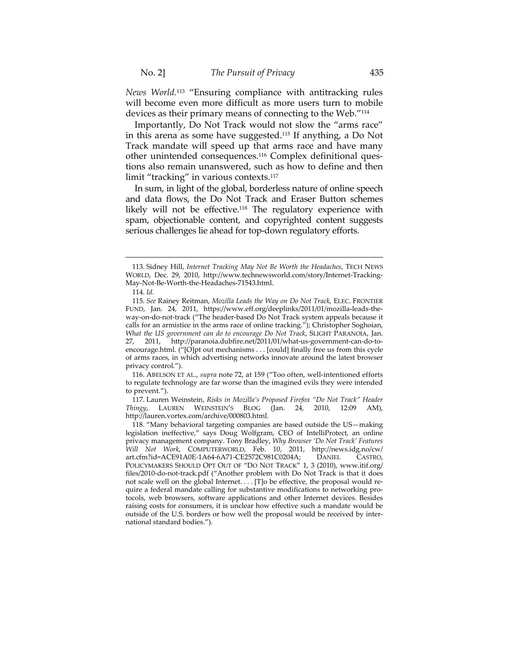*News World.*<sup>113</sup> "Ensuring compliance with antitracking rules will become even more difficult as more users turn to mobile devices as their primary means of connecting to the Web."114

Importantly, Do Not Track would not slow the "arms race" in this arena as some have suggested.115 If anything, a Do Not Track mandate will speed up that arms race and have many other unintended consequences.<sup>116</sup> Complex definitional questions also remain unanswered, such as how to define and then limit "tracking" in various contexts.<sup>117</sup>

In sum, in light of the global, borderless nature of online speech and data flows, the Do Not Track and Eraser Button schemes likely will not be effective.<sup>118</sup> The regulatory experience with spam, objectionable content, and copyrighted content suggests serious challenges lie ahead for top‐down regulatory efforts.

<sup>113.</sup> Sidney Hill, *Internet Tracking May Not Be Worth the Headaches*, TECH NEWS WORLD, Dec. 29, 2010, http://www.technewsworld.com/story/Internet-Tracking-May‐Not‐Be‐Worth‐the‐Headaches‐71543.html.

<sup>114.</sup> *Id.*

<sup>115.</sup> *See* Rainey Reitman, *Mozilla Leads the Way on Do Not Track*, ELEC. FRONTIER FUND, Jan. 24, 2011, https://www.eff.org/deeplinks/2011/01/mozilla‐leads‐the‐ way-on-do-not-track ("The header-based Do Not Track system appeals because it calls for an armistice in the arms race of online tracking."); Christopher Soghoian, *What the US government can do to encourage Do Not Track*, SLIGHT PARANOIA, Jan. 27, 2011, http://paranoia.dubfire.net/2011/01/what‐us‐government‐can‐do‐to‐ encourage.html. ("[O]pt out mechanisms . . . [could] finally free us from this cycle of arms races, in which advertising networks innovate around the latest browser privacy control.").

<sup>116.</sup> ABELSON ET AL., *supra* note 72, at 159 ("Too often, well‐intentioned efforts to regulate technology are far worse than the imagined evils they were intended to prevent.").

<sup>117.</sup> Lauren Weinstein, *Risks in Mozilla's Proposed Firefox "Do Not Track" Header Thingy*, LAUREN WEINSTEIN'S BLOG (Jan. 24, 2010, 12:09 AM), http://lauren.vortex.com/archive/000803.html.

<sup>118.</sup> "Many behavioral targeting companies are based outside the US—making legislation ineffective," says Doug Wolfgram, CEO of IntelliProtect, an online privacy management company. Tony Bradley, *Why Browser 'Do Not Track' Features Will Not Work*, COMPUTERWORLD, Feb. 10, 2011, http://news.idg.no/cw/ art.cfm?id=ACE91A0E‐1A64‐6A71‐CE2572C981C0204A; DANIEL CASTRO, POLICYMAKERS SHOULD OPT OUT OF "DO NOT TRACK" 1, 3 (2010), www.itif.org/ files/2010‐do‐not‐track.pdf ("Another problem with Do Not Track is that it does not scale well on the global Internet. . . . [T]o be effective, the proposal would require a federal mandate calling for substantive modifications to networking pro‐ tocols, web browsers, software applications and other Internet devices. Besides raising costs for consumers, it is unclear how effective such a mandate would be outside of the U.S. borders or how well the proposal would be received by inter‐ national standard bodies.").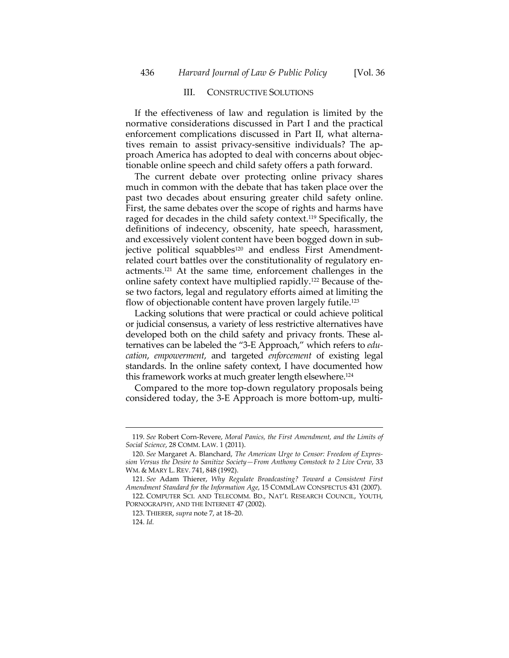#### III. CONSTRUCTIVE SOLUTIONS

If the effectiveness of law and regulation is limited by the normative considerations discussed in Part I and the practical enforcement complications discussed in Part II, what alternatives remain to assist privacy‐sensitive individuals? The ap‐ proach America has adopted to deal with concerns about objec‐ tionable online speech and child safety offers a path forward.

The current debate over protecting online privacy shares much in common with the debate that has taken place over the past two decades about ensuring greater child safety online. First, the same debates over the scope of rights and harms have raged for decades in the child safety context.119 Specifically, the definitions of indecency, obscenity, hate speech, harassment, and excessively violent content have been bogged down in subjective political squabbles<sup>120</sup> and endless First Amendmentrelated court battles over the constitutionality of regulatory en‐ actments.121 At the same time, enforcement challenges in the online safety context have multiplied rapidly.122 Because of the‐ se two factors, legal and regulatory efforts aimed at limiting the flow of objectionable content have proven largely futile.<sup>123</sup>

Lacking solutions that were practical or could achieve political or judicial consensus, a variety of less restrictive alternatives have developed both on the child safety and privacy fronts. These alternatives can be labeled the "3‐E Approach," which refers to *edu‐ cation*, *empowerment*, and targeted *enforcement* of existing legal standards. In the online safety context, I have documented how this framework works at much greater length elsewhere.124

Compared to the more top‐down regulatory proposals being considered today, the 3‐E Approach is more bottom‐up, multi‐

<sup>119.</sup> *See* Robert Corn‐Revere, *Moral Panics, the First Amendment, and the Limits of Social Science*, 28 COMM. LAW. 1 (2011).

<sup>120.</sup> *See* Margaret A. Blanchard, *The American Urge to Censor: Freedom of Expres‐ sion Versus the Desire to Sanitize Society—From Anthony Comstock to 2 Live Crew*, 33 WM. & MARY L. REV. 741, 848 (1992).

<sup>121.</sup> *See* Adam Thierer, *Why Regulate Broadcasting? Toward a Consistent First Amendment Standard for the Information Age*, 15 COMMLAW CONSPECTUS 431 (2007).

<sup>122.</sup> COMPUTER SCI. AND TELECOMM. BD., NAT'L RESEARCH COUNCIL, YOUTH, PORNOGRAPHY, AND THE INTERNET 47 (2002).

<sup>123.</sup> THIERER, *supra* note 7, at 18–20.

<sup>124.</sup> *Id.*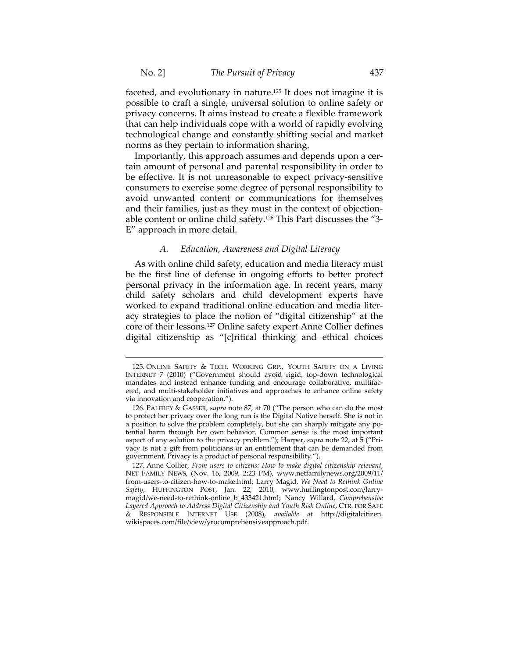faceted, and evolutionary in nature.125 It does not imagine it is possible to craft a single, universal solution to online safety or privacy concerns. It aims instead to create a flexible framework that can help individuals cope with a world of rapidly evolving technological change and constantly shifting social and market norms as they pertain to information sharing.

Importantly, this approach assumes and depends upon a cer‐ tain amount of personal and parental responsibility in order to be effective. It is not unreasonable to expect privacy-sensitive consumers to exercise some degree of personal responsibility to avoid unwanted content or communications for themselves and their families, just as they must in the context of objection‐ able content or online child safety.126 This Part discusses the "3‐ E" approach in more detail.

#### *A. Education, Awareness and Digital Literacy*

As with online child safety, education and media literacy must be the first line of defense in ongoing efforts to better protect personal privacy in the information age. In recent years, many child safety scholars and child development experts have worked to expand traditional online education and media literacy strategies to place the notion of "digital citizenship" at the core of their lessons.127 Online safety expert Anne Collier defines digital citizenship as "[c]ritical thinking and ethical choices

<sup>125.</sup> ONLINE SAFETY & TECH. WORKING GRP., YOUTH SAFETY ON A LIVING INTERNET 7 (2010) ("Government should avoid rigid, top‐down technological mandates and instead enhance funding and encourage collaborative, multifaceted, and multi-stakeholder initiatives and approaches to enhance online safety via innovation and cooperation.").

<sup>126.</sup> PALFREY & GASSER, *supra* note 87, at 70 ("The person who can do the most to protect her privacy over the long run is the Digital Native herself. She is not in a position to solve the problem completely, but she can sharply mitigate any potential harm through her own behavior. Common sense is the most important aspect of any solution to the privacy problem."); Harper, *supra* note 22, at 5 ("Pri‐ vacy is not a gift from politicians or an entitlement that can be demanded from government. Privacy is a product of personal responsibility.").

<sup>127.</sup> Anne Collier, *From users to citizens: How to make digital citizenship relevant*, NET FAMILY NEWS, (Nov. 16, 2009, 2:23 PM), www.netfamilynews.org/2009/11/ from‐users‐to‐citizen‐how‐to‐make.html; Larry Magid, *We Need to Rethink Online Safety*, HUFFINGTON POST, Jan. 22, 2010, www.huffingtonpost.com/larry‐ magid/we‐need‐to‐rethink‐online\_b\_433421.html; Nancy Willard, *Comprehensive Layered Approach to Address Digital Citizenship and Youth Risk Online*, CTR. FOR SAFE & RESPONSIBLE INTERNET USE (2008), *available at* http://digitalcitizen. wikispaces.com/file/view/yrocomprehensiveapproach.pdf.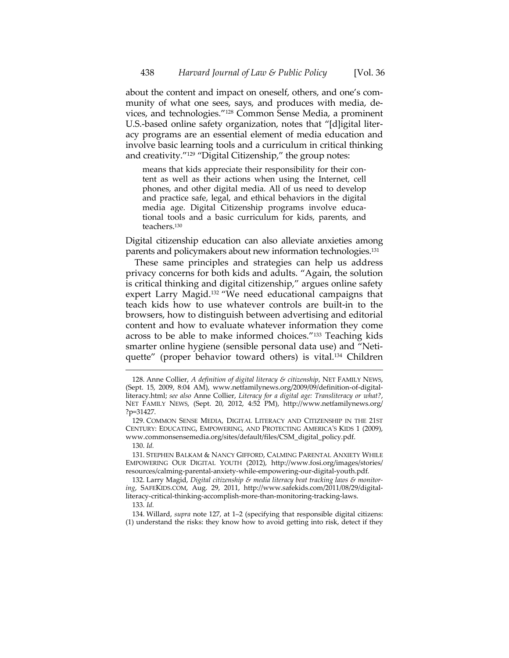about the content and impact on oneself, others, and one's com‐ munity of what one sees, says, and produces with media, devices, and technologies."128 Common Sense Media, a prominent U.S.‐based online safety organization, notes that "[d]igital liter‐ acy programs are an essential element of media education and involve basic learning tools and a curriculum in critical thinking and creativity."129 "Digital Citizenship," the group notes:

means that kids appreciate their responsibility for their content as well as their actions when using the Internet, cell phones, and other digital media. All of us need to develop and practice safe, legal, and ethical behaviors in the digital media age. Digital Citizenship programs involve educa‐ tional tools and a basic curriculum for kids, parents, and teachers.130

Digital citizenship education can also alleviate anxieties among parents and policymakers about new information technologies.131

These same principles and strategies can help us address privacy concerns for both kids and adults. "Again, the solution is critical thinking and digital citizenship," argues online safety expert Larry Magid.132 "We need educational campaigns that teach kids how to use whatever controls are built‐in to the browsers, how to distinguish between advertising and editorial content and how to evaluate whatever information they come across to be able to make informed choices."133 Teaching kids smarter online hygiene (sensible personal data use) and "Neti‐ quette" (proper behavior toward others) is vital.134 Children

130. *Id.*

 $\overline{a}$ 

131. STEPHEN BALKAM & NANCY GIFFORD, CALMING PARENTAL ANXIETY WHILE EMPOWERING OUR DIGITAL YOUTH (2012), http://www.fosi.org/images/stories/ resources/calming‐parental‐anxiety‐while‐empowering‐our‐digital‐youth.pdf.

132. Larry Magid, *Digital citizenship & media literacy beat tracking laws & monitor‐ ing*, SAFEKIDS.COM, Aug. 29, 2011, http://www.safekids.com/2011/08/29/digital‐ literacy‐critical‐thinking‐accomplish‐more‐than‐monitoring‐tracking‐laws.

134. Willard, *supra* note 127, at 1–2 (specifying that responsible digital citizens: (1) understand the risks: they know how to avoid getting into risk, detect if they

<sup>128.</sup> Anne Collier, *A definition of digital literacy & citizenship*, NET FAMILY NEWS, (Sept. 15, 2009, 8:04 AM), www.netfamilynews.org/2009/09/definition‐of‐digital‐ literacy.html; *see also* Anne Collier, *Literacy for a digital age: Transliteracy or what?*, NET FAMILY NEWS, (Sept. 20, 2012, 4:52 PM), http://www.netfamilynews.org/ ?p=31427.

<sup>129.</sup> COMMON SENSE MEDIA, DIGITAL LITERACY AND CITIZENSHIP IN THE 21ST CENTURY: EDUCATING, EMPOWERING, AND PROTECTING AMERICA'S KIDS 1 (2009), www.commonsensemedia.org/sites/default/files/CSM\_digital\_policy.pdf.

<sup>133.</sup> *Id.*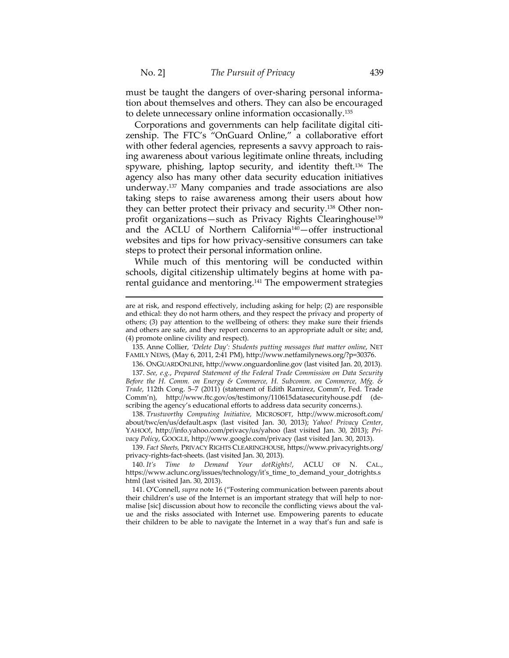must be taught the dangers of over-sharing personal information about themselves and others. They can also be encouraged to delete unnecessary online information occasionally.135

Corporations and governments can help facilitate digital citi‐ zenship. The FTC's "OnGuard Online," a collaborative effort with other federal agencies, represents a savvy approach to raising awareness about various legitimate online threats, including spyware, phishing, laptop security, and identity theft.<sup>136</sup> The agency also has many other data security education initiatives underway.137 Many companies and trade associations are also taking steps to raise awareness among their users about how they can better protect their privacy and security.<sup>138</sup> Other nonprofit organizations—such as Privacy Rights Clearinghouse<sup>139</sup> and the ACLU of Northern California140—offer instructional websites and tips for how privacy-sensitive consumers can take steps to protect their personal information online.

While much of this mentoring will be conducted within schools, digital citizenship ultimately begins at home with pa‐ rental guidance and mentoring.<sup>141</sup> The empowerment strategies

135. Anne Collier, *'Delete Day': Students putting messages that matter online*, NET FAMILY NEWS, (May 6, 2011, 2:41 PM), http://www.netfamilynews.org/?p=30376.

136. ONGUARDONLINE, http://www.onguardonline.gov (last visited Jan. 20, 2013). 137. *See, e.g.*, *Prepared Statement of the Federal Trade Commission on Data Security Before the H. Comm. on Energy & Commerce, H. Subcomm. on Commerce, Mfg. & Trade*, 112th Cong. 5–7 (2011) (statement of Edith Ramirez, Comm'r, Fed. Trade Comm'n), http://www.ftc.gov/os/testimony/110615datasecurityhouse.pdf (de‐ scribing the agency's educational efforts to address data security concerns.).

138. *Trustworthy Computing Initiative,* MICROSOFT, http://www.microsoft.com/ about/twc/en/us/default.aspx (last visited Jan. 30, 2013); *Yahoo! Privacy Center*, YAHOO!, http://info.yahoo.com/privacy/us/yahoo (last visited Jan. 30, 2013); *Pri‐ vacy Policy*, GOOGLE, http://www.google.com/privacy (last visited Jan. 30, 2013).

139. *Fact Sheets,* PRIVACY RIGHTS CLEARINGHOUSE, https://www.privacyrights.org/ privacy‐rights‐fact‐sheets. (last visited Jan. 30, 2013).

140. *It's Time to Demand Your dotRights!*, ACLU OF N. CAL., https://www.aclunc.org/issues/technology/itʹs\_time\_to\_demand\_your\_dotrights.s html (last visited Jan. 30, 2013).

141. O'Connell, *supra* note 16 ("Fostering communication between parents about their children's use of the Internet is an important strategy that will help to normalise [sic] discussion about how to reconcile the conflicting views about the value and the risks associated with Internet use. Empowering parents to educate their children to be able to navigate the Internet in a way that's fun and safe is

are at risk, and respond effectively, including asking for help; (2) are responsible and ethical: they do not harm others, and they respect the privacy and property of others; (3) pay attention to the wellbeing of others: they make sure their friends and others are safe, and they report concerns to an appropriate adult or site; and, (4) promote online civility and respect).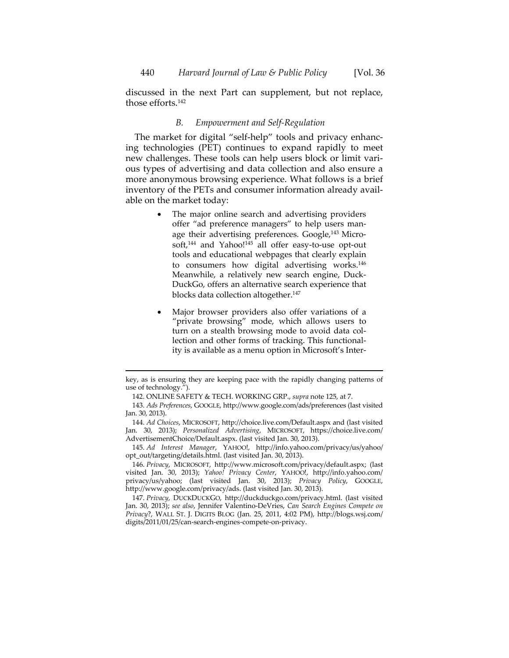discussed in the next Part can supplement, but not replace, those efforts.142

## *B. Empowerment and Self‐Regulation*

The market for digital "self-help" tools and privacy enhancing technologies (PET) continues to expand rapidly to meet new challenges. These tools can help users block or limit vari‐ ous types of advertising and data collection and also ensure a more anonymous browsing experience. What follows is a brief inventory of the PETs and consumer information already avail‐ able on the market today:

- The major online search and advertising providers offer "ad preference managers" to help users man‐ age their advertising preferences. Google,<sup>143</sup> Microsoft,<sup>144</sup> and Yahoo!<sup>145</sup> all offer easy-to-use opt-out tools and educational webpages that clearly explain to consumers how digital advertising works.146 Meanwhile, a relatively new search engine, Duck‐ DuckGo, offers an alternative search experience that blocks data collection altogether.147
- Major browser providers also offer variations of a "private browsing" mode, which allows users to turn on a stealth browsing mode to avoid data collection and other forms of tracking. This functional‐ ity is available as a menu option in Microsoft's Inter‐

 key, as is ensuring they are keeping pace with the rapidly changing patterns of use of technology.").

<sup>142.</sup> ONLINE SAFETY & TECH. WORKING GRP., *supra* note 125, at 7.

<sup>143.</sup> *Ads Preferences*, GOOGLE, http://www.google.com/ads/preferences (last visited Jan. 30, 2013).

<sup>144.</sup> *Ad Choices*, MICROSOFT, http://choice.live.com/Default.aspx and (last visited Jan. 30, 2013); *Personalized Advertising*, MICROSOFT, https://choice.live.com/ AdvertisementChoice/Default.aspx. (last visited Jan. 30, 2013).

<sup>145.</sup> *Ad Interest Manager*, YAHOO!, http://info.yahoo.com/privacy/us/yahoo/ opt\_out/targeting/details.html. (last visited Jan. 30, 2013).

<sup>146.</sup> *Privacy*, MICROSOFT, http://www.microsoft.com/privacy/default.aspx; (last visited Jan. 30, 2013); *Yahoo! Privacy Center*, YAHOO!, http://info.yahoo.com/ privacy/us/yahoo; (last visited Jan. 30, 2013); *Privacy Policy*, GOOGLE, http://www.google.com/privacy/ads. (last visited Jan. 30, 2013).

<sup>147.</sup> *Privacy*, DUCKDUCKGO, http://duckduckgo.com/privacy.html. (last visited Jan. 30, 2013); *see also*, Jennifer Valentino‐DeVries, *Can Search Engines Compete on Privacy*?, WALL ST. J. DIGITS BLOG (Jan. 25, 2011, 4:02 PM), http://blogs.wsj.com/ digits/2011/01/25/can‐search‐engines‐compete‐on‐privacy.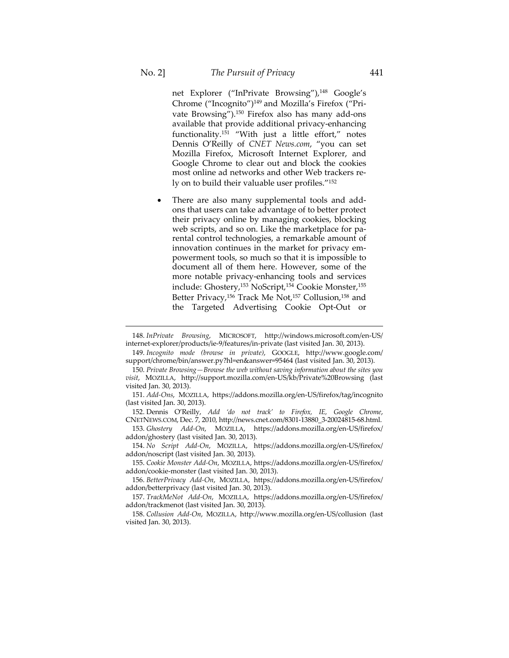$\overline{a}$ 

net Explorer ("InPrivate Browsing"),<sup>148</sup> Google's Chrome ("Incognito")149 and Mozilla's Firefox ("Pri‐ vate Browsing").<sup>150</sup> Firefox also has many add-ons available that provide additional privacy‐enhancing functionality.151 "With just a little effort," notes Dennis O'Reilly of *CNET News.com*, "you can set Mozilla Firefox, Microsoft Internet Explorer, and Google Chrome to clear out and block the cookies most online ad networks and other Web trackers re‐ ly on to build their valuable user profiles."152

 There are also many supplemental tools and add‐ ons that users can take advantage of to better protect their privacy online by managing cookies, blocking web scripts, and so on. Like the marketplace for parental control technologies, a remarkable amount of innovation continues in the market for privacy empowerment tools, so much so that it is impossible to document all of them here. However, some of the more notable privacy‐enhancing tools and services include: Ghostery,153 NoScript,154 Cookie Monster,155 Better Privacy,<sup>156</sup> Track Me Not,<sup>157</sup> Collusion,<sup>158</sup> and the Targeted Advertising Cookie Opt‐Out or

148. *InPrivate Browsing*, MICROSOFT, http://windows.microsoft.com/en‐US/ internet-explorer/products/ie-9/features/in-private (last visited Jan. 30, 2013).

149. *Incognito mode (browse in private)*, GOOGLE, http://www.google.com/ support/chrome/bin/answer.py?hl=en&answer=95464 (last visited Jan. 30, 2013).

150. *Private Browsing—Browse the web without saving information about the sites you visit*, MOZILLA, http://support.mozilla.com/en‐US/kb/Private%20Browsing (last visited Jan. 30, 2013).

151. *Add‐Ons*, MOZILLA, https://addons.mozilla.org/en‐US/firefox/tag/incognito (last visited Jan. 30, 2013).

152. Dennis O'Reilly, *Add 'do not track' to Firefox, IE, Google Chrome*, CNETNEWS.COM, Dec. 7, 2010, http://news.cnet.com/8301‐13880\_3‐20024815‐68.html.

153. *Ghostery Add‐On*, MOZILLA, https://addons.mozilla.org/en‐US/firefox/ addon/ghostery (last visited Jan. 30, 2013).

154. *No Script Add‐On*, MOZILLA, https://addons.mozilla.org/en‐US/firefox/ addon/noscript (last visited Jan. 30, 2013).

155. *Cookie Monster Add‐On*, MOZILLA, https://addons.mozilla.org/en‐US/firefox/ addon/cookie‐monster (last visited Jan. 30, 2013).

156. *BetterPrivacy Add‐On*, MOZILLA, https://addons.mozilla.org/en‐US/firefox/ addon/betterprivacy (last visited Jan. 30, 2013).

157. *TrackMeNot Add‐On*, MOZILLA, https://addons.mozilla.org/en‐US/firefox/ addon/trackmenot (last visited Jan. 30, 2013).

158. *Collusion Add‐On*, MOZILLA, http://www.mozilla.org/en‐US/collusion (last visited Jan. 30, 2013).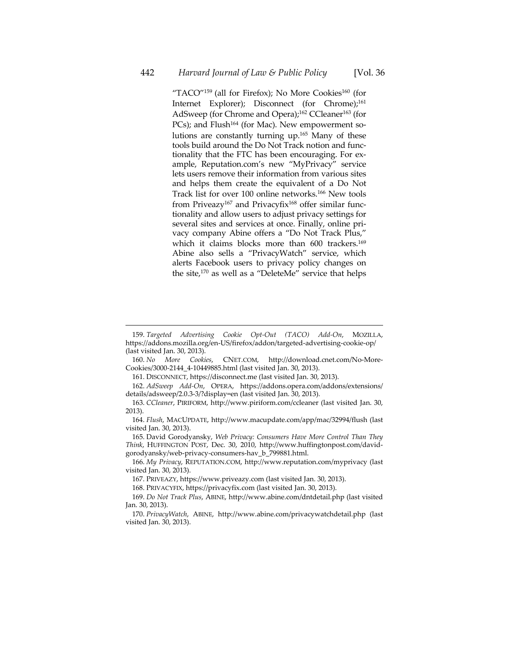"TACO"<sup>159</sup> (all for Firefox); No More Cookies<sup>160</sup> (for Internet Explorer); Disconnect (for Chrome);<sup>161</sup> AdSweep (for Chrome and Opera);<sup>162</sup> CCleaner<sup>163</sup> (for PCs); and Flush<sup>164</sup> (for Mac). New empowerment solutions are constantly turning up.165 Many of these tools build around the Do Not Track notion and func‐ tionality that the FTC has been encouraging. For ex‐ ample, Reputation.com's new "MyPrivacy" service lets users remove their information from various sites and helps them create the equivalent of a Do Not Track list for over 100 online networks.166 New tools from Priveazy<sup>167</sup> and Privacyfix<sup>168</sup> offer similar functionality and allow users to adjust privacy settings for several sites and services at once. Finally, online privacy company Abine offers a "Do Not Track Plus," which it claims blocks more than 600 trackers.<sup>169</sup> Abine also sells a "PrivacyWatch" service, which alerts Facebook users to privacy policy changes on the site,170 as well as a "DeleteMe" service that helps

<sup>159.</sup> *Targeted Advertising Cookie Opt‐Out (TACO) Add‐On*, MOZILLA, https://addons.mozilla.org/en‐US/firefox/addon/targeted‐advertising‐cookie‐op/ (last visited Jan. 30, 2013).<br>160. No More Cookies,

<sup>160.</sup> *No More Cookies*, CNET.COM, http://download.cnet.com/No‐More‐ Cookies/3000‐2144\_4‐10449885.html (last visited Jan. 30, 2013).

<sup>161.</sup> DISCONNECT, https://disconnect.me (last visited Jan. 30, 2013).

<sup>162.</sup> *AdSweep Add‐On*, OPERA, https://addons.opera.com/addons/extensions/ details/adsweep/2.0.3‐3/?display=en (last visited Jan. 30, 2013).

<sup>163.</sup> *CCleaner*, PIRIFORM, http://www.piriform.com/ccleaner (last visited Jan. 30, 2013).

<sup>164.</sup> *Flush*, MACUPDATE, http://www.macupdate.com/app/mac/32994/flush (last visited Jan. 30, 2013).

<sup>165.</sup> David Gorodyansky, *Web Privacy: Consumers Have More Control Than They Think*, HUFFINGTON POST, Dec. 30, 2010, http://www.huffingtonpost.com/david‐ gorodyansky/web‐privacy‐consumers‐hav\_b\_799881.html.

<sup>166.</sup> *My Privacy*, REPUTATION.COM, http://www.reputation.com/myprivacy (last visited Jan. 30, 2013).

<sup>167.</sup> PRIVEAZY, https://www.priveazy.com (last visited Jan. 30, 2013).

<sup>168.</sup> PRIVACYFIX, https://privacyfix.com (last visited Jan. 30, 2013).

<sup>169.</sup> *Do Not Track Plus*, ABINE, http://www.abine.com/dntdetail.php (last visited Jan. 30, 2013).

<sup>170.</sup> *PrivacyWatch*, ABINE, http://www.abine.com/privacywatchdetail.php (last visited Jan. 30, 2013).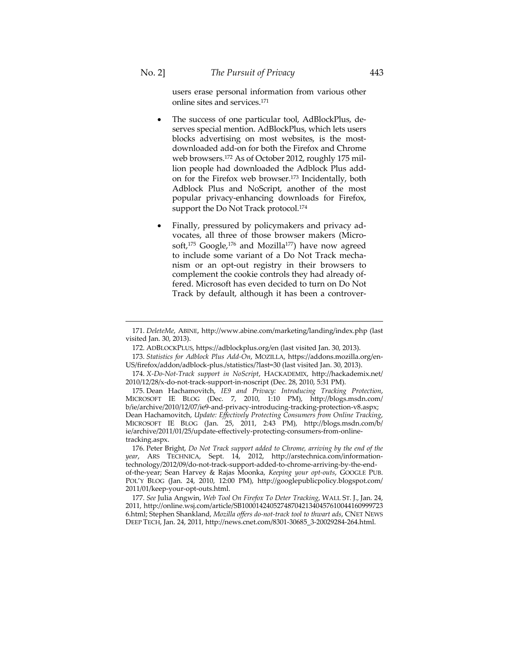$\overline{a}$ 

users erase personal information from various other online sites and services.171

- The success of one particular tool, AdBlockPlus, de‐ serves special mention. AdBlockPlus, which lets users blocks advertising on most websites, is the mostdownloaded add‐on for both the Firefox and Chrome web browsers.<sup>172</sup> As of October 2012, roughly 175 million people had downloaded the Adblock Plus add‐ on for the Firefox web browser.173 Incidentally, both Adblock Plus and NoScript, another of the most popular privacy‐enhancing downloads for Firefox, support the Do Not Track protocol.<sup>174</sup>
- Finally, pressured by policymakers and privacy ad‐ vocates, all three of those browser makers (Micro‐ soft,<sup>175</sup> Google,<sup>176</sup> and Mozilla<sup>177</sup>) have now agreed to include some variant of a Do Not Track mechanism or an opt‐out registry in their browsers to complement the cookie controls they had already of‐ fered. Microsoft has even decided to turn on Do Not Track by default, although it has been a controver‐

172. ADBLOCKPLUS, https://adblockplus.org/en (last visited Jan. 30, 2013).

<sup>171.</sup> *DeleteMe*, ABINE, http://www.abine.com/marketing/landing/index.php (last visited Jan. 30, 2013).

<sup>173.</sup> *Statistics for Adblock Plus Add‐On*, MOZILLA, https://addons.mozilla.org/en‐ US/firefox/addon/adblock‐plus./statistics/?last=30 (last visited Jan. 30, 2013).

<sup>174.</sup> *X‐Do‐Not‐Track support in NoScript*, HACKADEMIX, http://hackademix.net/ 2010/12/28/x‐do‐not‐track‐support‐in‐noscript (Dec. 28, 2010, 5:31 PM).

<sup>175.</sup> Dean Hachamovitch, *IE9 and Privacy: Introducing Tracking Protection*, MICROSOFT IE BLOG (Dec. 7, 2010, 1:10 PM), http://blogs.msdn.com/ b/ie/archive/2010/12/07/ie9-and-privacy-introducing-tracking-protection-v8.aspx; Dean Hachamovitch, *Update: Effectively Protecting Consumers from Online Tracking*, MICROSOFT IE BLOG (Jan. 25, 2011, 2:43 PM), http://blogs.msdn.com/b/ ie/archive/2011/01/25/update‐effectively‐protecting‐consumers‐from‐online‐ tracking.aspx.

<sup>176.</sup> Peter Bright, *Do Not Track support added to Chrome, arriving by the end of the year*, ARS TECHNICA, Sept. 14, 2012, http://arstechnica.com/information‐ technology/2012/09/do‐not‐track‐support‐added‐to‐chrome‐arriving‐by‐the‐end‐ of‐the‐year; Sean Harvey & Rajas Moonka, *Keeping your opt‐outs*, GOOGLE PUB. POL'Y BLOG (Jan. 24, 2010, 12:00 PM), http://googlepublicpolicy.blogspot.com/ 2011/01/keep‐your‐opt‐outs.html.

<sup>177.</sup> *See* Julia Angwin, *Web Tool On Firefox To Deter Tracking*, WALL ST. J., Jan. 24, 2011, http://online.wsj.com/article/SB1000142405274870421340457610044160999723 6.html; Stephen Shankland, *Mozilla offers do‐not‐track tool to thwart ads*, CNET NEWS DEEP TECH, Jan. 24, 2011, http://news.cnet.com/8301‐30685\_3‐20029284‐264.html.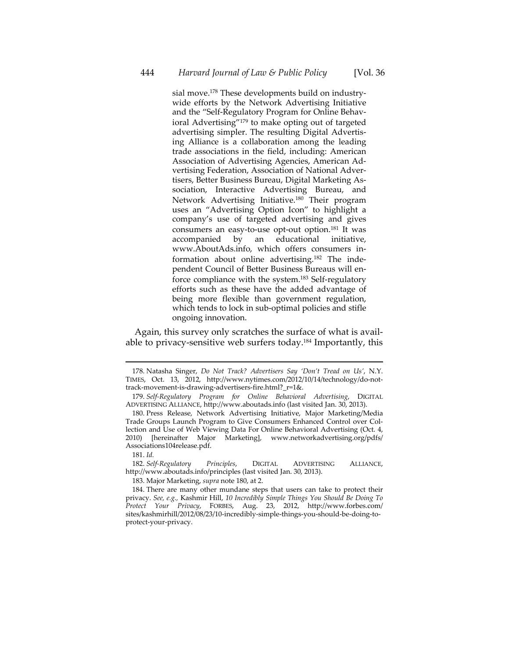sial move.178 These developments build on industry‐ wide efforts by the Network Advertising Initiative and the "Self‐Regulatory Program for Online Behav‐ ioral Advertising"179 to make opting out of targeted advertising simpler. The resulting Digital Advertis‐ ing Alliance is a collaboration among the leading trade associations in the field, including: American Association of Advertising Agencies, American Ad‐ vertising Federation, Association of National Adver‐ tisers, Better Business Bureau, Digital Marketing As‐ sociation, Interactive Advertising Bureau, and Network Advertising Initiative.180 Their program uses an "Advertising Option Icon" to highlight a company's use of targeted advertising and gives consumers an easy‐to‐use opt‐out option.181 It was accompanied by an educational initiative, www.AboutAds.info, which offers consumers in‐ formation about online advertising.<sup>182</sup> The independent Council of Better Business Bureaus will en‐ force compliance with the system.183 Self‐regulatory efforts such as these have the added advantage of being more flexible than government regulation, which tends to lock in sub-optimal policies and stifle ongoing innovation.

Again, this survey only scratches the surface of what is avail‐ able to privacy‐sensitive web surfers today.184 Importantly, this

 $\overline{a}$ 

183. Major Marketing, *supra* note 180, at 2.

<sup>178.</sup> Natasha Singer, *Do Not Track? Advertisers Say 'Don't Tread on Us'*, N.Y. TIMES, Oct. 13, 2012, http://www.nytimes.com/2012/10/14/technology/do‐not‐ track‐movement‐is‐drawing‐advertisers‐fire.html?\_r=1&.

<sup>179.</sup> *Self‐Regulatory Program for Online Behavioral Advertising*, DIGITAL ADVERTISING ALLIANCE, http://www.aboutads.info (last visited Jan. 30, 2013).

<sup>180.</sup> Press Release, Network Advertising Initiative, Major Marketing/Media Trade Groups Launch Program to Give Consumers Enhanced Control over Col‐ lection and Use of Web Viewing Data For Online Behavioral Advertising (Oct. 4, 2010) [hereinafter Major Marketing], www.networkadvertising.org/pdfs/ Associations104release.pdf.

<sup>181.</sup> *Id.*

<sup>182.</sup> *Self‐Regulatory Principles*, DIGITAL ADVERTISING ALLIANCE, http://www.aboutads.info/principles (last visited Jan. 30, 2013).

<sup>184.</sup> There are many other mundane steps that users can take to protect their privacy. *See, e.g.,* Kashmir Hill, *10 Incredibly Simple Things You Should Be Doing To Protect Your Privacy*, FORBES, Aug. 23, 2012, http://www.forbes.com/ sites/kashmirhill/2012/08/23/10‐incredibly‐simple‐things‐you‐should‐be‐doing‐to‐ protect‐your‐privacy.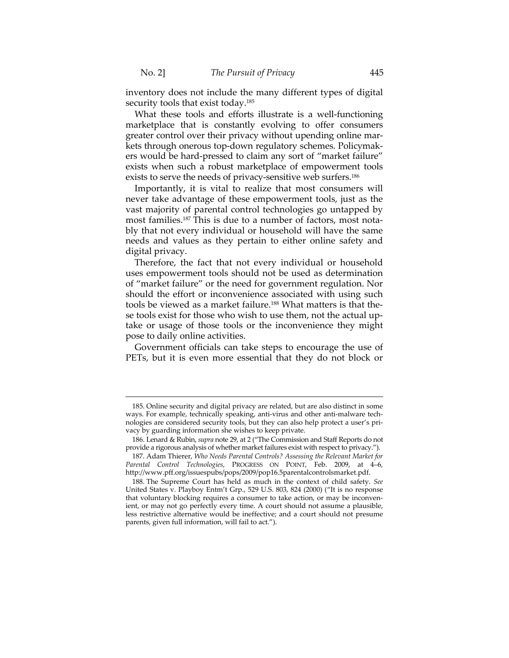$\overline{a}$ 

inventory does not include the many different types of digital security tools that exist today.<sup>185</sup>

What these tools and efforts illustrate is a well-functioning marketplace that is constantly evolving to offer consumers greater control over their privacy without upending online mar‐ kets through onerous top‐down regulatory schemes. Policymak‐ ers would be hard‐pressed to claim any sort of "market failure" exists when such a robust marketplace of empowerment tools exists to serve the needs of privacy-sensitive web surfers.<sup>186</sup>

Importantly, it is vital to realize that most consumers will never take advantage of these empowerment tools, just as the vast majority of parental control technologies go untapped by most families.<sup>187</sup> This is due to a number of factors, most notably that not every individual or household will have the same needs and values as they pertain to either online safety and digital privacy.

Therefore, the fact that not every individual or household uses empowerment tools should not be used as determination of "market failure" or the need for government regulation. Nor should the effort or inconvenience associated with using such tools be viewed as a market failure.<sup>188</sup> What matters is that these tools exist for those who wish to use them, not the actual uptake or usage of those tools or the inconvenience they might pose to daily online activities.

Government officials can take steps to encourage the use of PETs, but it is even more essential that they do not block or

<sup>185.</sup> Online security and digital privacy are related, but are also distinct in some ways. For example, technically speaking, anti-virus and other anti-malware technologies are considered security tools, but they can also help protect a user's pri‐ vacy by guarding information she wishes to keep private.

<sup>186.</sup> Lenard & Rubin, *supra* note 29, at 2 ("The Commission and Staff Reports do not provide a rigorous analysis of whether market failures exist with respect to privacy.").

<sup>187.</sup> Adam Thierer, *Who Needs Parental Controls? Assessing the Relevant Market for Parental Control Technologies*, PROGRESS ON POINT, Feb. 2009, at 4–6, http://www.pff.org/issuespubs/pops/2009/pop16.5parentalcontrolsmarket.pdf.

<sup>188.</sup> The Supreme Court has held as much in the context of child safety. *See* United States v. Playboy Entm't Grp., 529 U.S. 803, 824 (2000) ("It is no response that voluntary blocking requires a consumer to take action, or may be inconvenient, or may not go perfectly every time. A court should not assume a plausible, less restrictive alternative would be ineffective; and a court should not presume parents, given full information, will fail to act.").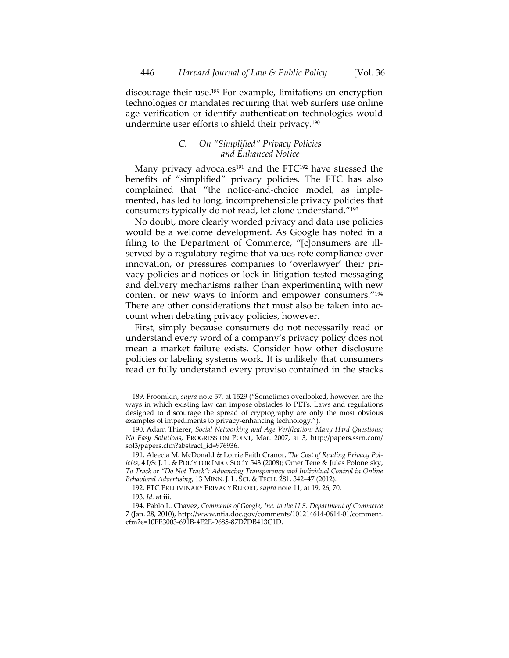discourage their use.189 For example, limitations on encryption technologies or mandates requiring that web surfers use online age verification or identify authentication technologies would undermine user efforts to shield their privacy.190

# *C. On "Simplified" Privacy Policies and Enhanced Notice*

Many privacy advocates<sup>191</sup> and the FTC<sup>192</sup> have stressed the benefits of "simplified" privacy policies. The FTC has also complained that "the notice-and-choice model, as implemented, has led to long, incomprehensible privacy policies that consumers typically do not read, let alone understand."193

No doubt, more clearly worded privacy and data use policies would be a welcome development. As Google has noted in a filing to the Department of Commerce, "[c]onsumers are illserved by a regulatory regime that values rote compliance over innovation, or pressures companies to 'overlawyer' their pri‐ vacy policies and notices or lock in litigation‐tested messaging and delivery mechanisms rather than experimenting with new content or new ways to inform and empower consumers."194 There are other considerations that must also be taken into account when debating privacy policies, however.

First, simply because consumers do not necessarily read or understand every word of a company's privacy policy does not mean a market failure exists. Consider how other disclosure policies or labeling systems work. It is unlikely that consumers read or fully understand every proviso contained in the stacks

192. FTC PRELIMINARY PRIVACY REPORT, *supra* note 11, at 19, 26, 70.

<sup>189.</sup> Froomkin, *supra* note 57, at 1529 ("Sometimes overlooked, however, are the ways in which existing law can impose obstacles to PETs. Laws and regulations designed to discourage the spread of cryptography are only the most obvious examples of impediments to privacy-enhancing technology.").

<sup>190.</sup> Adam Thierer, *Social Networking and Age Verification: Many Hard Questions; No Easy Solutions*, PROGRESS ON POINT, Mar. 2007, at 3, http://papers.ssrn.com/ sol3/papers.cfm?abstract\_id=976936.

<sup>191.</sup> Aleecia M. McDonald & Lorrie Faith Cranor, *The Cost of Reading Privacy Pol‐ icies*, 4 I/S: J. L. & POL'Y FOR INFO. SOC'Y 543 (2008); Omer Tene & Jules Polonetsky, *To Track or "Do Not Track": Advancing Transparency and Individual Control in Online Behavioral Advertising*, 13 MINN. J. L. SCI. & TECH. 281, 342–47 (2012).

<sup>193.</sup> *Id.* at iii.

<sup>194.</sup> Pablo L. Chavez, *Comments of Google, Inc. to the U.S. Department of Commerce* 7 (Jan. 28, 2010), http://www.ntia.doc.gov/comments/101214614‐0614‐01/comment. cfm?e=10FE3003‐691B‐4E2E‐9685‐87D7DB413C1D.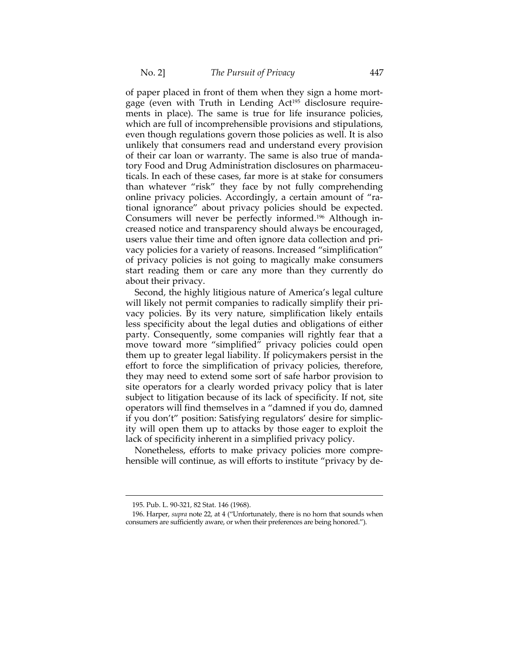of paper placed in front of them when they sign a home mort‐ gage (even with Truth in Lending Act<sup>195</sup> disclosure requirements in place). The same is true for life insurance policies, which are full of incomprehensible provisions and stipulations, even though regulations govern those policies as well. It is also unlikely that consumers read and understand every provision of their car loan or warranty. The same is also true of manda‐ tory Food and Drug Administration disclosures on pharmaceu‐ ticals. In each of these cases, far more is at stake for consumers than whatever "risk" they face by not fully comprehending online privacy policies. Accordingly, a certain amount of "rational ignorance" about privacy policies should be expected. Consumers will never be perfectly informed.196 Although in‐ creased notice and transparency should always be encouraged, users value their time and often ignore data collection and pri‐ vacy policies for a variety of reasons. Increased "simplification" of privacy policies is not going to magically make consumers start reading them or care any more than they currently do about their privacy.

Second, the highly litigious nature of America's legal culture will likely not permit companies to radically simplify their privacy policies. By its very nature, simplification likely entails less specificity about the legal duties and obligations of either party. Consequently, some companies will rightly fear that a move toward more "simplified" privacy policies could open them up to greater legal liability. If policymakers persist in the effort to force the simplification of privacy policies, therefore, they may need to extend some sort of safe harbor provision to site operators for a clearly worded privacy policy that is later subject to litigation because of its lack of specificity. If not, site operators will find themselves in a "damned if you do, damned if you don't" position: Satisfying regulators' desire for simplic‐ ity will open them up to attacks by those eager to exploit the lack of specificity inherent in a simplified privacy policy.

Nonetheless, efforts to make privacy policies more compre‐ hensible will continue, as will efforts to institute "privacy by de-

<sup>195.</sup> Pub. L. 90‐321, 82 Stat. 146 (1968).

<sup>196.</sup> Harper, *supra* note 22, at 4 ("Unfortunately, there is no horn that sounds when consumers are sufficiently aware, or when their preferences are being honored.").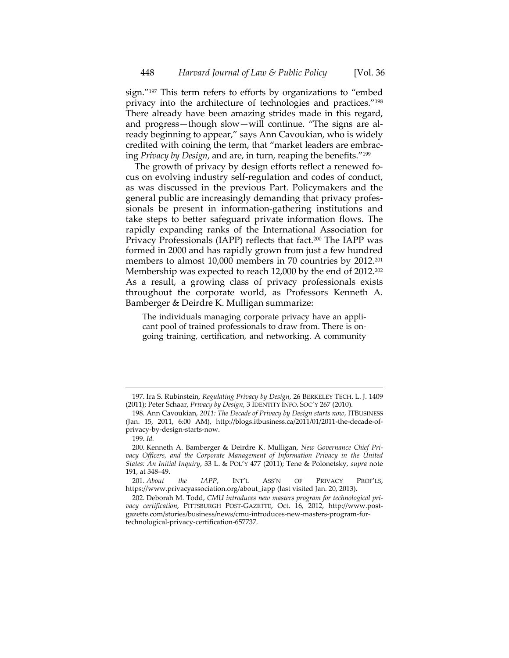sign."197 This term refers to efforts by organizations to "embed privacy into the architecture of technologies and practices."198 There already have been amazing strides made in this regard, and progress—though slow—will continue. "The signs are al‐ ready beginning to appear," says Ann Cavoukian, who is widely credited with coining the term, that "market leaders are embrac‐ ing *Privacy by Design*, and are, in turn, reaping the benefits."199

The growth of privacy by design efforts reflect a renewed focus on evolving industry self‐regulation and codes of conduct, as was discussed in the previous Part. Policymakers and the general public are increasingly demanding that privacy profes‐ sionals be present in information‐gathering institutions and take steps to better safeguard private information flows. The rapidly expanding ranks of the International Association for Privacy Professionals (IAPP) reflects that fact.<sup>200</sup> The IAPP was formed in 2000 and has rapidly grown from just a few hundred members to almost 10,000 members in 70 countries by 2012.<sup>201</sup> Membership was expected to reach 12,000 by the end of 2012.<sup>202</sup> As a result, a growing class of privacy professionals exists throughout the corporate world, as Professors Kenneth A. Bamberger & Deirdre K. Mulligan summarize:

The individuals managing corporate privacy have an appli‐ cant pool of trained professionals to draw from. There is on‐ going training, certification, and networking. A community

<sup>197.</sup> Ira S. Rubinstein, *Regulating Privacy by Design*, 26 BERKELEY TECH. L. J. 1409 (2011); Peter Schaar, *Privacy by Design*, 3 IDENTITY INFO. SOC'Y 267 (2010).

<sup>198.</sup> Ann Cavoukian, *2011: The Decade of Privacy by Design starts now*, ITBUSINESS (Jan. 15, 2011, 6:00 AM), http://blogs.itbusiness.ca/2011/01/2011‐the‐decade‐of‐ privacy‐by‐design‐starts‐now.

<sup>199.</sup> *Id.*

<sup>200.</sup> Kenneth A. Bamberger & Deirdre K. Mulligan, *New Governance Chief Pri‐ vacy Officers, and the Corporate Management of Information Privacy in the United States: An Initial Inquiry*, 33 L. & POL'Y 477 (2011); Tene & Polonetsky, *supra* note 191, at 348–49.

<sup>201.</sup> *About the IAPP*, INT'L ASS'N OF PRIVACY PROF'LS, https://www.privacyassociation.org/about\_iapp (last visited Jan. 20, 2013).

<sup>202.</sup> Deborah M. Todd, *CMU introduces new masters program for technological pri‐ vacy certification*, PITTSBURGH POST‐GAZETTE, Oct. 16, 2012, http://www.post‐ gazette.com/stories/business/news/cmu‐introduces‐new‐masters‐program‐for‐ technological‐privacy‐certification‐657737.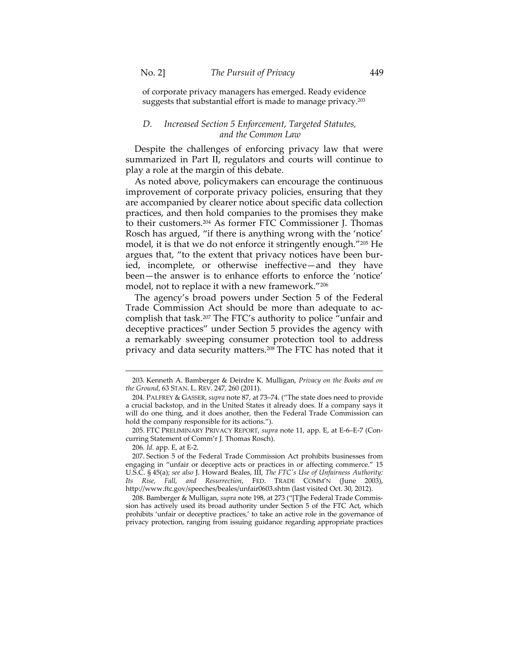of corporate privacy managers has emerged. Ready evidence suggests that substantial effort is made to manage privacy.203

## *D. Increased Section 5 Enforcement, Targeted Statutes, and the Common Law*

Despite the challenges of enforcing privacy law that were summarized in Part II, regulators and courts will continue to play a role at the margin of this debate.

As noted above, policymakers can encourage the continuous improvement of corporate privacy policies, ensuring that they are accompanied by clearer notice about specific data collection practices, and then hold companies to the promises they make to their customers.204 As former FTC Commissioner J. Thomas Rosch has argued, "if there is anything wrong with the 'notice' model, it is that we do not enforce it stringently enough."205 He argues that, "to the extent that privacy notices have been buried, incomplete, or otherwise ineffective—and they have been—the answer is to enhance efforts to enforce the 'notice' model, not to replace it with a new framework."206

The agency's broad powers under Section 5 of the Federal Trade Commission Act should be more than adequate to ac‐ complish that task.207 The FTC's authority to police "unfair and deceptive practices" under Section 5 provides the agency with a remarkably sweeping consumer protection tool to address privacy and data security matters.<sup>208</sup> The FTC has noted that it

205. FTC PRELIMINARY PRIVACY REPORT, *supra* note 11, app. E, at E‐6–E‐7 (Con‐ curring Statement of Comm'r J. Thomas Rosch).

 $\overline{a}$ 

208. Bamberger & Mulligan, *supra* note 198, at 273 ("[T]he Federal Trade Commis‐ sion has actively used its broad authority under Section 5 of the FTC Act, which prohibits 'unfair or deceptive practices,' to take an active role in the governance of privacy protection, ranging from issuing guidance regarding appropriate practices

<sup>203.</sup> Kenneth A. Bamberger & Deirdre K. Mulligan, *Privacy on the Books and on the Ground*, 63 STAN. L. REV. 247, 260 (2011).

<sup>204.</sup> PALFREY & GASSER, *supra* note 87, at 73–74. ("The state does need to provide a crucial backstop, and in the United States it already does. If a company says it will do one thing, and it does another, then the Federal Trade Commission can hold the company responsible for its actions.").

<sup>206.</sup> *Id.* app. E, at E‐2.

<sup>207.</sup> Section 5 of the Federal Trade Commission Act prohibits businesses from engaging in "unfair or deceptive acts or practices in or affecting commerce." 15 U.S.C. § 45(a); *see also* J. Howard Beales, III, *The FTCʹs Use of Unfairness Authority: Its Rise, Fall, and Resurrection*, FED. TRADE COMM'N (June 2003), http://www.ftc.gov/speeches/beales/unfair0603.shtm (last visited Oct. 30, 2012).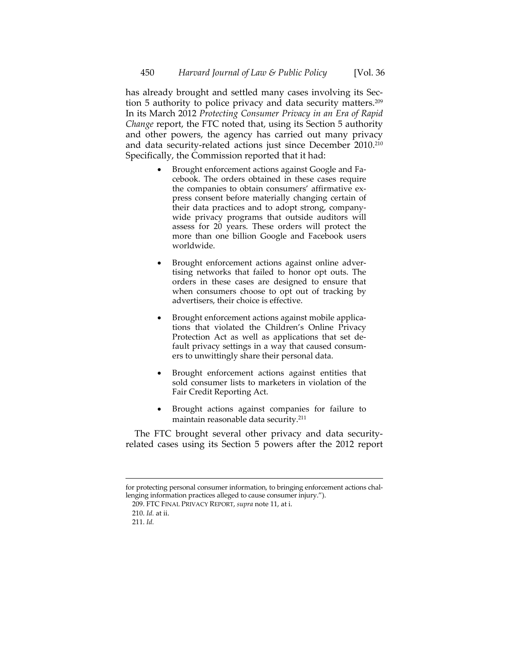has already brought and settled many cases involving its Section 5 authority to police privacy and data security matters.209 In its March 2012 *Protecting Consumer Privacy in an Era of Rapid Change* report, the FTC noted that, using its Section 5 authority and other powers, the agency has carried out many privacy and data security‐related actions just since December 2010.210 Specifically, the Commission reported that it had:

- Brought enforcement actions against Google and Facebook. The orders obtained in these cases require the companies to obtain consumers' affirmative express consent before materially changing certain of their data practices and to adopt strong, company‐ wide privacy programs that outside auditors will assess for 20 years. These orders will protect the more than one billion Google and Facebook users worldwide.
- Brought enforcement actions against online adver‐ tising networks that failed to honor opt outs. The orders in these cases are designed to ensure that when consumers choose to opt out of tracking by advertisers, their choice is effective.
- Brought enforcement actions against mobile applications that violated the Children's Online Privacy Protection Act as well as applications that set de‐ fault privacy settings in a way that caused consum‐ ers to unwittingly share their personal data.
- Brought enforcement actions against entities that sold consumer lists to marketers in violation of the Fair Credit Reporting Act.
- Brought actions against companies for failure to maintain reasonable data security.211

The FTC brought several other privacy and data security‐ related cases using its Section 5 powers after the 2012 report

 for protecting personal consumer information, to bringing enforcement actions challenging information practices alleged to cause consumer injury.").

<sup>209.</sup> FTC FINAL PRIVACY REPORT, *supra* note 11, at i.

<sup>210.</sup> *Id.* at ii.

<sup>211.</sup> *Id.*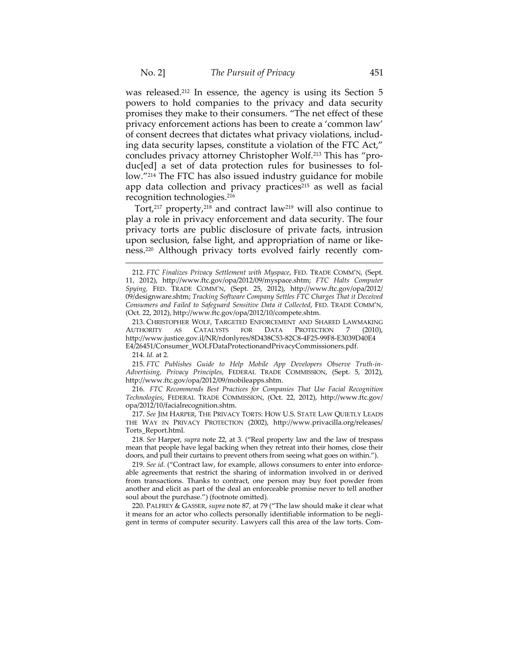was released.<sup>212</sup> In essence, the agency is using its Section 5 powers to hold companies to the privacy and data security promises they make to their consumers. "The net effect of these privacy enforcement actions has been to create a 'common law' of consent decrees that dictates what privacy violations, includ‐ ing data security lapses, constitute a violation of the FTC Act," concludes privacy attorney Christopher Wolf.213 This has "pro‐ duc[ed] a set of data protection rules for businesses to fol‐ low."214 The FTC has also issued industry guidance for mobile app data collection and privacy practices $215$  as well as facial recognition technologies.216

Tort, $217$  property, $218$  and contract law $219$  will also continue to play a role in privacy enforcement and data security. The four privacy torts are public disclosure of private facts, intrusion upon seclusion, false light, and appropriation of name or like‐ ness.<sup>220</sup> Although privacy torts evolved fairly recently com-

214. *Id.* at 2.

 $\overline{a}$ 

215. *FTC Publishes Guide to Help Mobile App Developers Observe Truth‐in‐ Advertising, Privacy Principles*, FEDERAL TRADE COMMISSION, (Sept. 5, 2012), http://www.ftc.gov/opa/2012/09/mobileapps.shtm.

216. *FTC Recommends Best Practices for Companies That Use Facial Recognition Technologies*, FEDERAL TRADE COMMISSION, (Oct. 22, 2012), http://www.ftc.gov/ opa/2012/10/facialrecognition.shtm.

217. *See* JIM HARPER, THE PRIVACY TORTS: HOW U.S. STATE LAW QUIETLY LEADS THE WAY IN PRIVACY PROTECTION (2002), http://www.privacilla.org/releases/ Torts\_Report.html.

218. *See* Harper, *supra* note 22, at 3. ("Real property law and the law of trespass mean that people have legal backing when they retreat into their homes, close their doors, and pull their curtains to prevent others from seeing what goes on within.").

219. *See id.* ("Contract law, for example, allows consumers to enter into enforce‐ able agreements that restrict the sharing of information involved in or derived from transactions. Thanks to contract, one person may buy foot powder from another and elicit as part of the deal an enforceable promise never to tell another soul about the purchase.") (footnote omitted).

220. PALFREY & GASSER, *supra* note 87, at 79 ("The law should make it clear what it means for an actor who collects personally identifiable information to be negli‐ gent in terms of computer security. Lawyers call this area of the law torts. Com-

<sup>212.</sup> *FTC Finalizes Privacy Settlement with Myspace*, FED. TRADE COMM'N, (Sept. 11, 2012), http://www.ftc.gov/opa/2012/09/myspace.shtm; *FTC Halts Computer Spying,* FED. TRADE COMM'N, (Sept. 25, 2012), http://www.ftc.gov/opa/2012/ 09/designware.shtm; *Tracking Software Company Settles FTC Charges That it Deceived Consumers and Failed to Safeguard Sensitive Data it Collected*, FED. TRADE COMM'N, (Oct. 22, 2012), http://www.ftc.gov/opa/2012/10/compete.shtm.

<sup>213.</sup> CHRISTOPHER WOLF, TARGETED ENFORCEMENT AND SHARED LAWMAKING<br>UTHORITY AS CATALYSTS FOR DATA PROTECTION 7 (2010), AUTHORITY AS CATALYSTS FOR DATA PROTECTION 7 (2010), http://www.justice.gov.il/NR/rdonlyres/8D438C53‐82C8‐4F25‐99F8‐E3039D40E4 E4/26451/Consumer\_WOLFDataProtectionandPrivacyCommissioners.pdf.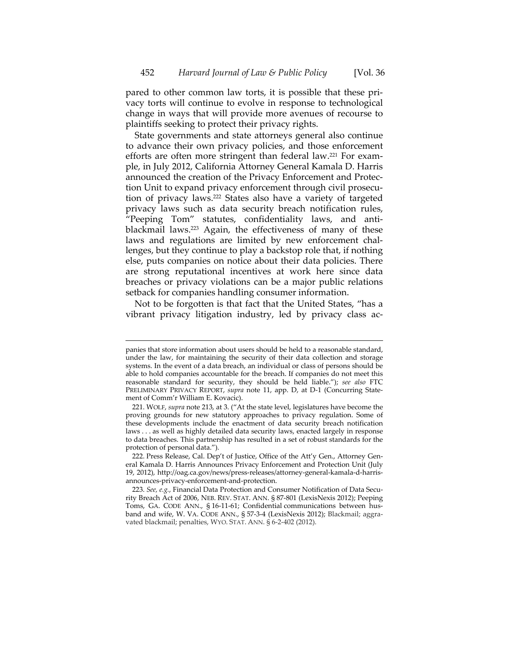pared to other common law torts, it is possible that these pri‐ vacy torts will continue to evolve in response to technological change in ways that will provide more avenues of recourse to plaintiffs seeking to protect their privacy rights.

State governments and state attorneys general also continue to advance their own privacy policies, and those enforcement efforts are often more stringent than federal law.<sup>221</sup> For example, in July 2012, California Attorney General Kamala D. Harris announced the creation of the Privacy Enforcement and Protec‐ tion Unit to expand privacy enforcement through civil prosecu‐ tion of privacy laws.222 States also have a variety of targeted privacy laws such as data security breach notification rules, "Peeping Tom" statutes, confidentiality laws, and antiblackmail laws.223 Again, the effectiveness of many of these laws and regulations are limited by new enforcement challenges, but they continue to play a backstop role that, if nothing else, puts companies on notice about their data policies. There are strong reputational incentives at work here since data breaches or privacy violations can be a major public relations setback for companies handling consumer information.

Not to be forgotten is that fact that the United States, "has a vibrant privacy litigation industry, led by privacy class ac‐

panies that store information about users should be held to a reasonable standard, under the law, for maintaining the security of their data collection and storage systems. In the event of a data breach, an individual or class of persons should be able to hold companies accountable for the breach. If companies do not meet this reasonable standard for security, they should be held liable."); *see also* FTC PRELIMINARY PRIVACY REPORT, *supra* note 11, app. D, at D-1 (Concurring Statement of Comm'r William E. Kovacic).

<sup>221.</sup> WOLF, *supra* note 213, at 3. ("At the state level, legislatures have become the proving grounds for new statutory approaches to privacy regulation. Some of these developments include the enactment of data security breach notification laws . . . as well as highly detailed data security laws, enacted largely in response to data breaches. This partnership has resulted in a set of robust standards for the protection of personal data.").

<sup>222.</sup> Press Release, Cal. Dep't of Justice, Office of the Att'y Gen., Attorney General Kamala D. Harris Announces Privacy Enforcement and Protection Unit (July 19, 2012), http://oag.ca.gov/news/press‐releases/attorney‐general‐kamala‐d‐harris‐ announces‐privacy‐enforcement‐and‐protection.

<sup>223.</sup> *See, e.g.*, Financial Data Protection and Consumer Notification of Data Secu‐ rity Breach Act of 2006, NEB. REV. STAT. ANN. § 87‐801 (LexisNexis 2012); Peeping Toms, GA. CODE ANN., § 16-11-61; Confidential communications between husband and wife, W. VA. CODE ANN., § 57-3-4 (LexisNexis 2012); Blackmail; aggravated blackmail; penalties, WYO. STAT. ANN. § 6‐2‐402 (2012).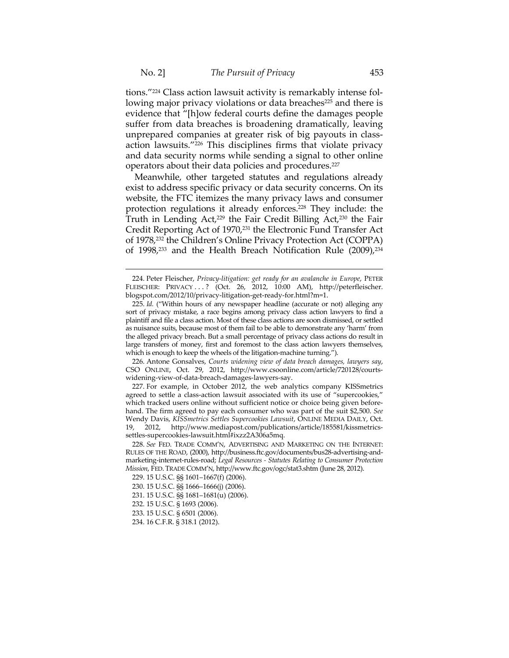tions."224 Class action lawsuit activity is remarkably intense fol‐ lowing major privacy violations or data breaches<sup>225</sup> and there is evidence that "[h]ow federal courts define the damages people suffer from data breaches is broadening dramatically, leaving unprepared companies at greater risk of big payouts in class‐ action lawsuits."226 This disciplines firms that violate privacy and data security norms while sending a signal to other online operators about their data policies and procedures.227

Meanwhile, other targeted statutes and regulations already exist to address specific privacy or data security concerns. On its website, the FTC itemizes the many privacy laws and consumer protection regulations it already enforces.<sup>228</sup> They include: the Truth in Lending Act,<sup>229</sup> the Fair Credit Billing Act,<sup>230</sup> the Fair Credit Reporting Act of 1970,231 the Electronic Fund Transfer Act of 1978,232 the Children's Online Privacy Protection Act (COPPA) of 1998,<sup>233</sup> and the Health Breach Notification Rule (2009),<sup>234</sup>

226. Antone Gonsalves, *Courts widening view of data breach damages, lawyers say*, CSO ONLINE, Oct. 29, 2012, http://www.csoonline.com/article/720128/courts‐ widening‐view‐of‐data‐breach‐damages‐lawyers‐say.

227. For example, in October 2012, the web analytics company KISSmetrics agreed to settle a class‐action lawsuit associated with its use of "supercookies," which tracked users online without sufficient notice or choice being given beforehand. The firm agreed to pay each consumer who was part of the suit \$2,500. *See* Wendy Davis, *KISSmetrics Settles Supercookies Lawsuit*, ONLINE MEDIA DAILY, Oct. 19, 2012, http://www.mediapost.com/publications/article/185581/kissmetrics‐ settles‐supercookies‐lawsuit.html#ixzz2A306a5mq.

231. 15 U.S.C. §§ 1681–1681(u) (2006).

<sup>224.</sup> Peter Fleischer, *Privacy‐litigation: get ready for an avalanche in Europe*, PETER FLEISCHER: PRIVACY ...? (Oct. 26, 2012, 10:00 AM), http://peterfleischer. blogspot.com/2012/10/privacy‐litigation‐get‐ready‐for.html?m=1.

<sup>225.</sup> *Id.* ("Within hours of any newspaper headline (accurate or not) alleging any sort of privacy mistake, a race begins among privacy class action lawyers to find a plaintiff and file a class action. Most of these class actions are soon dismissed, or settled as nuisance suits, because most of them fail to be able to demonstrate any 'harm' from the alleged privacy breach. But a small percentage of privacy class actions do result in large transfers of money, first and foremost to the class action lawyers themselves, which is enough to keep the wheels of the litigation-machine turning.").

<sup>228.</sup> *See* FED. TRADE COMM'N, ADVERTISING AND MARKETING ON THE INTERNET: RULES OF THE ROAD, (2000), http://business.ftc.gov/documents/bus28‐advertising‐and‐ marketing‐internet‐rules‐road; *Legal Resources ‐ Statutes Relating to Consumer Protection Mission*, FED. TRADE COMM'N, http://www.ftc.gov/ogc/stat3.shtm (June 28, 2012).

<sup>229.</sup> 15 U.S.C. §§ 1601–1667(f) (2006).

<sup>230.</sup> 15 U.S.C. §§ 1666–1666(j) (2006).

<sup>232.</sup> 15 U.S.C. § 1693 (2006).

<sup>233.</sup> 15 U.S.C. § 6501 (2006).

<sup>234.</sup> 16 C.F.R. § 318.1 (2012).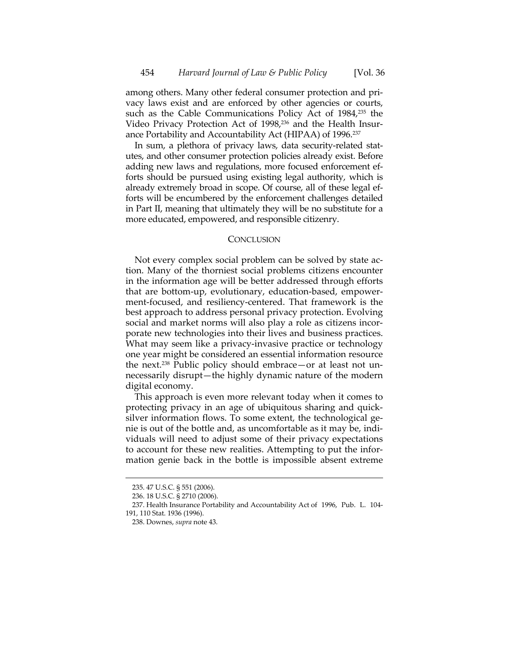among others. Many other federal consumer protection and pri‐ vacy laws exist and are enforced by other agencies or courts, such as the Cable Communications Policy Act of 1984,<sup>235</sup> the Video Privacy Protection Act of 1998,<sup>236</sup> and the Health Insurance Portability and Accountability Act (HIPAA) of 1996.237

In sum, a plethora of privacy laws, data security-related statutes, and other consumer protection policies already exist. Before adding new laws and regulations, more focused enforcement ef‐ forts should be pursued using existing legal authority, which is already extremely broad in scope. Of course, all of these legal ef‐ forts will be encumbered by the enforcement challenges detailed in Part II, meaning that ultimately they will be no substitute for a more educated, empowered, and responsible citizenry.

#### **CONCLUSION**

Not every complex social problem can be solved by state action. Many of the thorniest social problems citizens encounter in the information age will be better addressed through efforts that are bottom‐up, evolutionary, education‐based, empower‐ ment‐focused, and resiliency‐centered. That framework is the best approach to address personal privacy protection. Evolving social and market norms will also play a role as citizens incorporate new technologies into their lives and business practices. What may seem like a privacy-invasive practice or technology one year might be considered an essential information resource the next.<sup>238</sup> Public policy should embrace—or at least not unnecessarily disrupt—the highly dynamic nature of the modern digital economy.

This approach is even more relevant today when it comes to protecting privacy in an age of ubiquitous sharing and quick‐ silver information flows. To some extent, the technological ge‐ nie is out of the bottle and, as uncomfortable as it may be, indi‐ viduals will need to adjust some of their privacy expectations to account for these new realities. Attempting to put the infor‐ mation genie back in the bottle is impossible absent extreme

<sup>235.</sup> 47 U.S.C. § 551 (2006).

<sup>236.</sup> 18 U.S.C. § 2710 (2006).

<sup>237.</sup> Health Insurance Portability and Accountability Act of 1996, Pub. L. 104‐ 191, 110 Stat. 1936 (1996).

<sup>238.</sup> Downes, *supra* note 43.